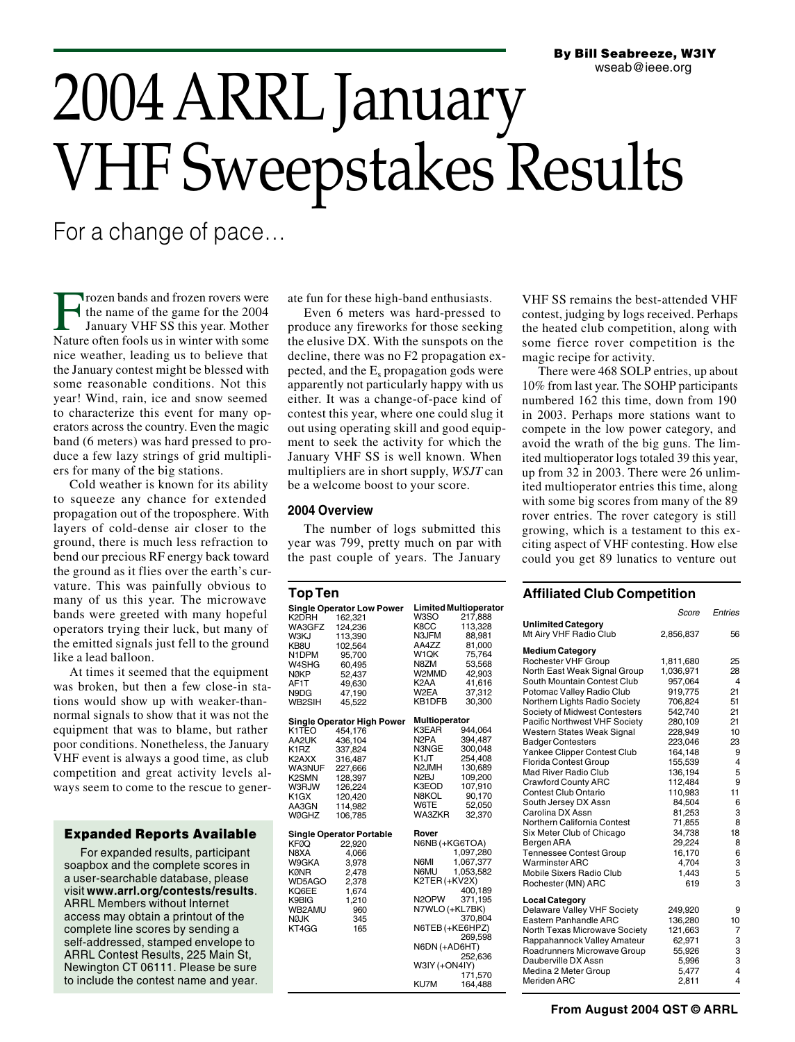# 2004 ARRL January VHF Sweepstakes Results

For a change of pace…

Frozen bands and frozen rovers were the name of the game for the 2004 January VHF SS this year. Mother Nature often fools us in winter with some nice weather, leading us to believe that the January contest might be blessed with some reasonable conditions. Not this year! Wind, rain, ice and snow seemed to characterize this event for many operators across the country. Even the magic band (6 meters) was hard pressed to produce a few lazy strings of grid multipliers for many of the big stations.

Cold weather is known for its ability to squeeze any chance for extended propagation out of the troposphere. With layers of cold-dense air closer to the ground, there is much less refraction to bend our precious RF energy back toward the ground as it flies over the earth's curvature. This was painfully obvious to many of us this year. The microwave bands were greeted with many hopeful operators trying their luck, but many of the emitted signals just fell to the ground like a lead balloon.

At times it seemed that the equipment was broken, but then a few close-in stations would show up with weaker-thannormal signals to show that it was not the equipment that was to blame, but rather poor conditions. Nonetheless, the January VHF event is always a good time, as club competition and great activity levels always seem to come to the rescue to gener-

# **Expanded Reports Available**

For expanded results, participant soapbox and the complete scores in a user-searchable database, please visit **www.arrl.org/contests/results**. ARRL Members without Internet access may obtain a printout of the complete line scores by sending a self-addressed, stamped envelope to ARRL Contest Results, 225 Main St, Newington CT 06111. Please be sure to include the contest name and year. ate fun for these high-band enthusiasts.

Even 6 meters was hard-pressed to produce any fireworks for those seeking the elusive DX. With the sunspots on the decline, there was no F2 propagation expected, and the  $E<sub>s</sub>$  propagation gods were apparently not particularly happy with us either. It was a change-of-pace kind of contest this year, where one could slug it out using operating skill and good equipment to seek the activity for which the January VHF SS is well known. When multipliers are in short supply, *WSJT* can be a welcome boost to your score.

# **2004 Overview**

The number of logs submitted this year was 799, pretty much on par with the past couple of years. The January

| Top Ten                                                                                                          |                                                                                                                                          |                                                                                                                                                               |                                                                                                                                    |
|------------------------------------------------------------------------------------------------------------------|------------------------------------------------------------------------------------------------------------------------------------------|---------------------------------------------------------------------------------------------------------------------------------------------------------------|------------------------------------------------------------------------------------------------------------------------------------|
| K2DRH<br>WA3GFZ<br>W3KJ<br>KB8U<br>N1DPM<br>W4SHG<br><b>NØKP</b><br>AF1T<br>N9DG<br>WB2SIH                       | <b>Single Operator Low Power</b><br>162,321<br>124,236<br>113,390<br>102,564<br>95,700<br>60,495<br>52,437<br>49,630<br>47,190<br>45.522 | W3SO<br>K8CC<br>N3JFM<br>AA4ZZ<br>W1QK<br>N8ZM<br>W2MMD<br>K <sub>2</sub> AA<br>W2EA<br>KB1DFB                                                                | <b>Limited Multioperator</b><br>217,888<br>113,328<br>88,981<br>81,000<br>75,764<br>53,568<br>42,903<br>41,616<br>37,312<br>30,300 |
| K1TEO<br>AA2UK<br>K1RZ<br>K2AXX<br><b>WA3NUF</b><br>K <sub>2</sub> SMN<br>W3RJW<br>K1GX<br>AA3GN<br><b>WØGHZ</b> | Single Operator High Power<br>454,176<br>436,104<br>337,824<br>316,487<br>227,666<br>128,397<br>126,224<br>120,420<br>114,982<br>106.785 | Multioperator<br>K3EAR<br>N <sub>2</sub> PA<br>N3NGE<br>K1JT<br>N <sub>2</sub> JMH<br>N <sub>2</sub> BJ<br>K3EOD<br>N8KOL<br>W6TE<br>WA3ZKR                   | 944,064<br>394,487<br>300,048<br>254,408<br>130,689<br>109,200<br>107,910<br>90,170<br>52,050<br>32,370                            |
| KFØQ<br>N8XA<br>W9GKA<br>KØNR<br>WD5AGO<br>KQ6EE<br>K9BIG<br>WB2AMU<br><b>NØJK</b><br>KT4GG                      | <b>Single Operator Portable</b><br>22,920<br>4,066<br>3,978<br>2,478<br>2,378<br>1,674<br>1,210<br>960<br>345<br>165                     | Rover<br>N6NB (+KG6TOA)<br>N6MI<br>N6MU<br>K2TER (+KV2X)<br>N <sub>2</sub> OPW<br>N7WLO (+KL7BK)<br>N6TEB (+KE6HPZ)<br>N6DN (+AD6HT)<br>W3IY (+ON4IY)<br>KU7M | 1,097,280<br>1,067,377<br>1,053,582<br>400,189<br>371,195<br>370,804<br>269,598<br>252,636<br>171,570<br>164,488                   |

VHF SS remains the best-attended VHF contest, judging by logs received. Perhaps the heated club competition, along with some fierce rover competition is the magic recipe for activity.

There were 468 SOLP entries, up about 10% from last year. The SOHP participants numbered 162 this time, down from 190 in 2003. Perhaps more stations want to compete in the low power category, and avoid the wrath of the big guns. The limited multioperator logs totaled 39 this year, up from 32 in 2003. There were 26 unlimited multioperator entries this time, along with some big scores from many of the 89 rover entries. The rover category is still growing, which is a testament to this exciting aspect of VHF contesting. How else could you get 89 lunatics to venture out

# **Affiliated Club Competition**

|                                                     | Score     | Entries        |
|-----------------------------------------------------|-----------|----------------|
| <b>Unlimited Category</b><br>Mt Airy VHF Radio Club | 2,856,837 | 56             |
| <b>Medium Category</b>                              |           |                |
| Rochester VHF Group                                 | 1,811,680 | 25             |
| North East Weak Signal Group                        | 1,036,971 | 28             |
| South Mountain Contest Club                         | 957,064   | 4              |
| Potomac Valley Radio Club                           | 919,775   | 21             |
| Northern Lights Radio Society                       | 706,824   | 51             |
| Society of Midwest Contesters                       | 542,740   | 21             |
| Pacific Northwest VHF Society                       | 280,109   | 21             |
| Western States Weak Signal                          | 228,949   | 10             |
| <b>Badger Contesters</b>                            | 223,046   | 23             |
| Yankee Clipper Contest Club                         | 164,148   | 9              |
| Florida Contest Group                               | 155,539   | $\overline{4}$ |
| Mad River Radio Club                                | 136,194   | 5              |
| <b>Crawford County ARC</b>                          | 112,484   | 9              |
| Contest Club Ontario                                | 110,983   | 11             |
| South Jersey DX Assn                                | 84,504    | 6              |
| Carolina DX Assn                                    | 81,253    | 3              |
| Northern California Contest                         | 71,855    | 8              |
| Six Meter Club of Chicago                           | 34,738    | 18             |
| Bergen ARA                                          | 29,224    | 8              |
| <b>Tennessee Contest Group</b>                      | 16,170    | 6              |
| <b>Warminster ARC</b>                               | 4,704     | 3              |
| Mobile Sixers Radio Club                            | 1,443     | 5              |
| Rochester (MN) ARC                                  | 619       | 3              |
| <b>Local Category</b>                               |           |                |
| Delaware Valley VHF Society                         | 249,920   | 9              |
| Eastern Panhandle ARC                               | 136,280   | 10             |
| North Texas Microwave Society                       | 121,663   | 7              |
| Rappahannock Valley Amateur                         | 62,971    | 3              |
| Roadrunners Microwave Group                         | 55,926    | 3              |
| Dauberville DX Assn                                 | 5,996     | 3              |
| Medina 2 Meter Group                                | 5,477     | 4              |
| Meriden ARC                                         | 2,811     | 4              |
|                                                     |           |                |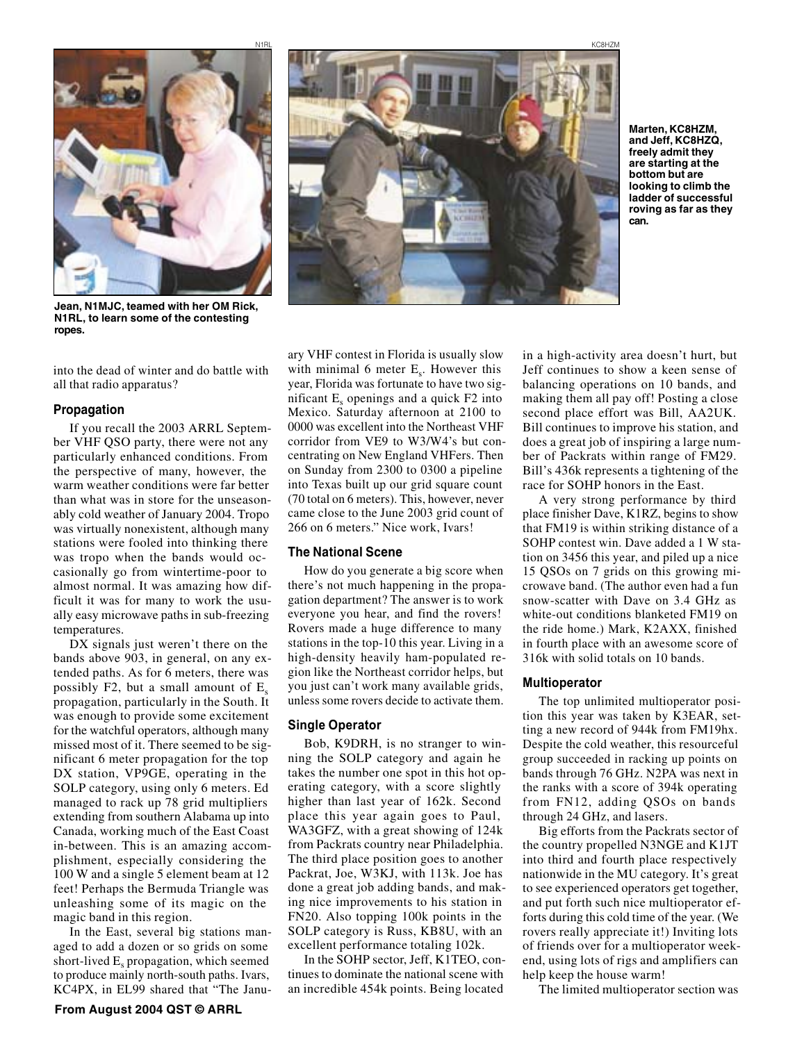

**Jean, N1MJC, teamed with her OM Rick, N1RL, to learn some of the contesting ropes.**

into the dead of winter and do battle with all that radio apparatus?

## **Propagation**

If you recall the 2003 ARRL September VHF QSO party, there were not any particularly enhanced conditions. From the perspective of many, however, the warm weather conditions were far better than what was in store for the unseasonably cold weather of January 2004. Tropo was virtually nonexistent, although many stations were fooled into thinking there was tropo when the bands would occasionally go from wintertime-poor to almost normal. It was amazing how difficult it was for many to work the usually easy microwave paths in sub-freezing temperatures.

DX signals just weren't there on the bands above 903, in general, on any extended paths. As for 6 meters, there was possibly F2, but a small amount of  $E<sub>s</sub>$ propagation, particularly in the South. It was enough to provide some excitement for the watchful operators, although many missed most of it. There seemed to be significant 6 meter propagation for the top DX station, VP9GE, operating in the SOLP category, using only 6 meters. Ed managed to rack up 78 grid multipliers extending from southern Alabama up into Canada, working much of the East Coast in-between. This is an amazing accomplishment, especially considering the 100 W and a single 5 element beam at 12 feet! Perhaps the Bermuda Triangle was unleashing some of its magic on the magic band in this region.

In the East, several big stations managed to add a dozen or so grids on some short-lived  $E_s$  propagation, which seemed to produce mainly north-south paths. Ivars, KC4PX, in EL99 shared that "The Janu-



**Marten, KC8HZM, and Jeff, KC8HZQ, freely admit they are starting at the bottom but are looking to climb the ladder of successful roving as far as they can.**

ary VHF contest in Florida is usually slow with minimal 6 meter  $E_s$ . However this year, Florida was fortunate to have two significant  $E<sub>s</sub>$  openings and a quick  $F2$  into Mexico. Saturday afternoon at 2100 to 0000 was excellent into the Northeast VHF corridor from VE9 to W3/W4's but concentrating on New England VHFers. Then on Sunday from 2300 to 0300 a pipeline into Texas built up our grid square count (70 total on 6 meters). This, however, never came close to the June 2003 grid count of 266 on 6 meters." Nice work, Ivars!

## **The National Scene**

How do you generate a big score when there's not much happening in the propagation department? The answer is to work everyone you hear, and find the rovers! Rovers made a huge difference to many stations in the top-10 this year. Living in a high-density heavily ham-populated region like the Northeast corridor helps, but you just can't work many available grids, unless some rovers decide to activate them.

## **Single Operator**

Bob, K9DRH, is no stranger to winning the SOLP category and again he takes the number one spot in this hot operating category, with a score slightly higher than last year of 162k. Second place this year again goes to Paul, WA3GFZ, with a great showing of 124k from Packrats country near Philadelphia. The third place position goes to another Packrat, Joe, W3KJ, with 113k. Joe has done a great job adding bands, and making nice improvements to his station in FN20. Also topping 100k points in the SOLP category is Russ, KB8U, with an excellent performance totaling 102k.

In the SOHP sector, Jeff, K1TEO, continues to dominate the national scene with an incredible 454k points. Being located

in a high-activity area doesn't hurt, but Jeff continues to show a keen sense of balancing operations on 10 bands, and making them all pay off! Posting a close second place effort was Bill, AA2UK. Bill continues to improve his station, and does a great job of inspiring a large number of Packrats within range of FM29. Bill's 436k represents a tightening of the race for SOHP honors in the East.

A very strong performance by third place finisher Dave, K1RZ, begins to show that FM19 is within striking distance of a SOHP contest win. Dave added a 1 W station on 3456 this year, and piled up a nice 15 QSOs on 7 grids on this growing microwave band. (The author even had a fun snow-scatter with Dave on 3.4 GHz as white-out conditions blanketed FM19 on the ride home.) Mark, K2AXX, finished in fourth place with an awesome score of 316k with solid totals on 10 bands.

#### **Multioperator**

The top unlimited multioperator position this year was taken by K3EAR, setting a new record of 944k from FM19hx. Despite the cold weather, this resourceful group succeeded in racking up points on bands through 76 GHz. N2PA was next in the ranks with a score of 394k operating from FN12, adding QSOs on bands through 24 GHz, and lasers.

Big efforts from the Packrats sector of the country propelled N3NGE and K1JT into third and fourth place respectively nationwide in the MU category. It's great to see experienced operators get together, and put forth such nice multioperator efforts during this cold time of the year. (We rovers really appreciate it!) Inviting lots of friends over for a multioperator weekend, using lots of rigs and amplifiers can help keep the house warm!

The limited multioperator section was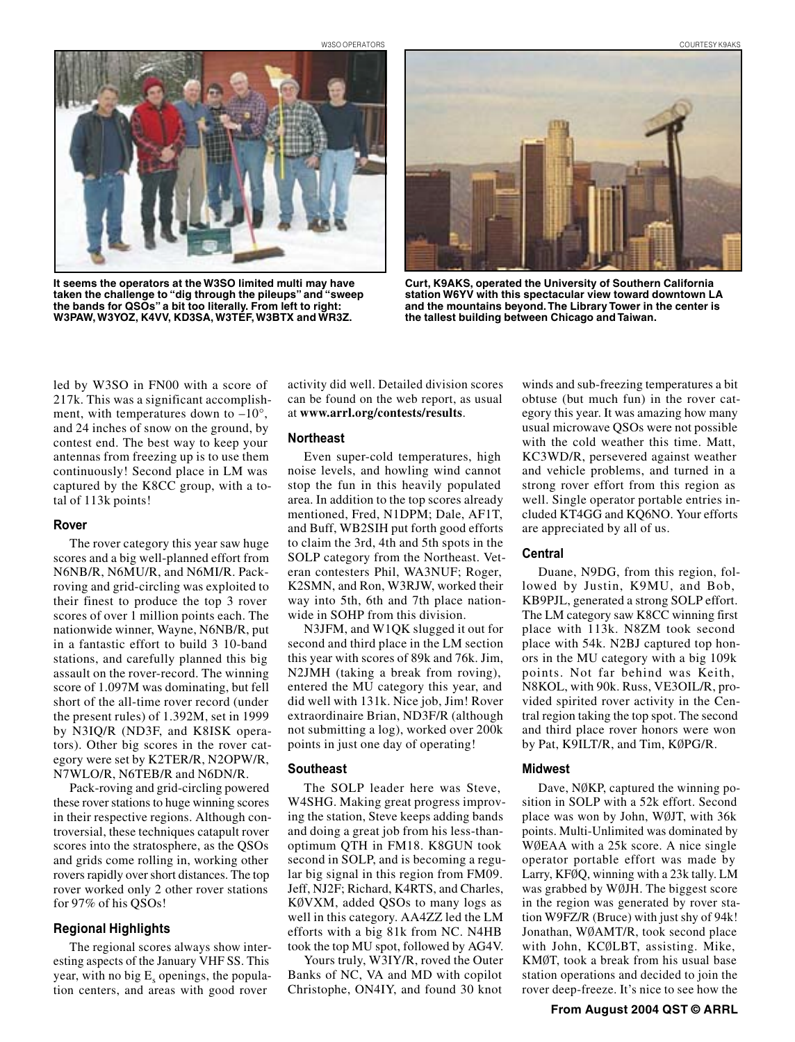W3SO OPERATORS COURTESY K9AKS



**It seems the operators at the W3SO limited multi may have taken the challenge to "dig through the pileups" and "sweep the bands for QSOs" a bit too literally. From left to right: W3PAW, W3YOZ, K4VV, KD3SA, W3TEF, W3BTX and WR3Z.**



**Curt, K9AKS, operated the University of Southern California station W6YV with this spectacular view toward downtown LA and the mountains beyond. The Library Tower in the center is the tallest building between Chicago and Taiwan.**

led by W3SO in FN00 with a score of 217k. This was a significant accomplishment, with temperatures down to  $-10^{\circ}$ , and 24 inches of snow on the ground, by contest end. The best way to keep your antennas from freezing up is to use them continuously! Second place in LM was captured by the K8CC group, with a total of 113k points!

#### **Rover**

The rover category this year saw huge scores and a big well-planned effort from N6NB/R, N6MU/R, and N6MI/R. Packroving and grid-circling was exploited to their finest to produce the top 3 rover scores of over 1 million points each. The nationwide winner, Wayne, N6NB/R, put in a fantastic effort to build 3 10-band stations, and carefully planned this big assault on the rover-record. The winning score of 1.097M was dominating, but fell short of the all-time rover record (under the present rules) of 1.392M, set in 1999 by N3IQ/R (ND3F, and K8ISK operators). Other big scores in the rover category were set by K2TER/R, N2OPW/R, N7WLO/R, N6TEB/R and N6DN/R.

Pack-roving and grid-circling powered these rover stations to huge winning scores in their respective regions. Although controversial, these techniques catapult rover scores into the stratosphere, as the QSOs and grids come rolling in, working other rovers rapidly over short distances. The top rover worked only 2 other rover stations for 97% of his QSOs!

# **Regional Highlights**

The regional scores always show interesting aspects of the January VHF SS. This year, with no big  $E<sub>s</sub>$  openings, the population centers, and areas with good rover

activity did well. Detailed division scores can be found on the web report, as usual at **www.arrl.org/contests/results**.

#### **Northeast**

Even super-cold temperatures, high noise levels, and howling wind cannot stop the fun in this heavily populated area. In addition to the top scores already mentioned, Fred, N1DPM; Dale, AF1T, and Buff, WB2SIH put forth good efforts to claim the 3rd, 4th and 5th spots in the SOLP category from the Northeast. Veteran contesters Phil, WA3NUF; Roger, K2SMN, and Ron, W3RJW, worked their way into 5th, 6th and 7th place nationwide in SOHP from this division.

N3JFM, and W1QK slugged it out for second and third place in the LM section this year with scores of 89k and 76k. Jim, N2JMH (taking a break from roving), entered the MU category this year, and did well with 131k. Nice job, Jim! Rover extraordinaire Brian, ND3F/R (although not submitting a log), worked over 200k points in just one day of operating!

## **Southeast**

The SOLP leader here was Steve, W4SHG. Making great progress improving the station, Steve keeps adding bands and doing a great job from his less-thanoptimum QTH in FM18. K8GUN took second in SOLP, and is becoming a regular big signal in this region from FM09. Jeff, NJ2F; Richard, K4RTS, and Charles, KØVXM, added QSOs to many logs as well in this category. AA4ZZ led the LM efforts with a big 81k from NC. N4HB took the top MU spot, followed by AG4V.

Yours truly, W3IY/R, roved the Outer Banks of NC, VA and MD with copilot Christophe, ON4IY, and found 30 knot winds and sub-freezing temperatures a bit obtuse (but much fun) in the rover category this year. It was amazing how many usual microwave QSOs were not possible with the cold weather this time. Matt, KC3WD/R, persevered against weather and vehicle problems, and turned in a strong rover effort from this region as well. Single operator portable entries included KT4GG and KQ6NO. Your efforts are appreciated by all of us.

## **Central**

Duane, N9DG, from this region, followed by Justin, K9MU, and Bob, KB9PJL, generated a strong SOLP effort. The LM category saw K8CC winning first place with 113k. N8ZM took second place with 54k. N2BJ captured top honors in the MU category with a big 109k points. Not far behind was Keith, N8KOL, with 90k. Russ, VE3OIL/R, provided spirited rover activity in the Central region taking the top spot. The second and third place rover honors were won by Pat, K9ILT/R, and Tim, KØPG/R.

#### **Midwest**

Dave, NØKP, captured the winning position in SOLP with a 52k effort. Second place was won by John, WØJT, with 36k points. Multi-Unlimited was dominated by WØEAA with a 25k score. A nice single operator portable effort was made by Larry, KFØQ, winning with a 23k tally. LM was grabbed by WØJH. The biggest score in the region was generated by rover station W9FZ/R (Bruce) with just shy of 94k! Jonathan, WØAMT/R, took second place with John, KCØLBT, assisting. Mike, KMØT, took a break from his usual base station operations and decided to join the rover deep-freeze. It's nice to see how the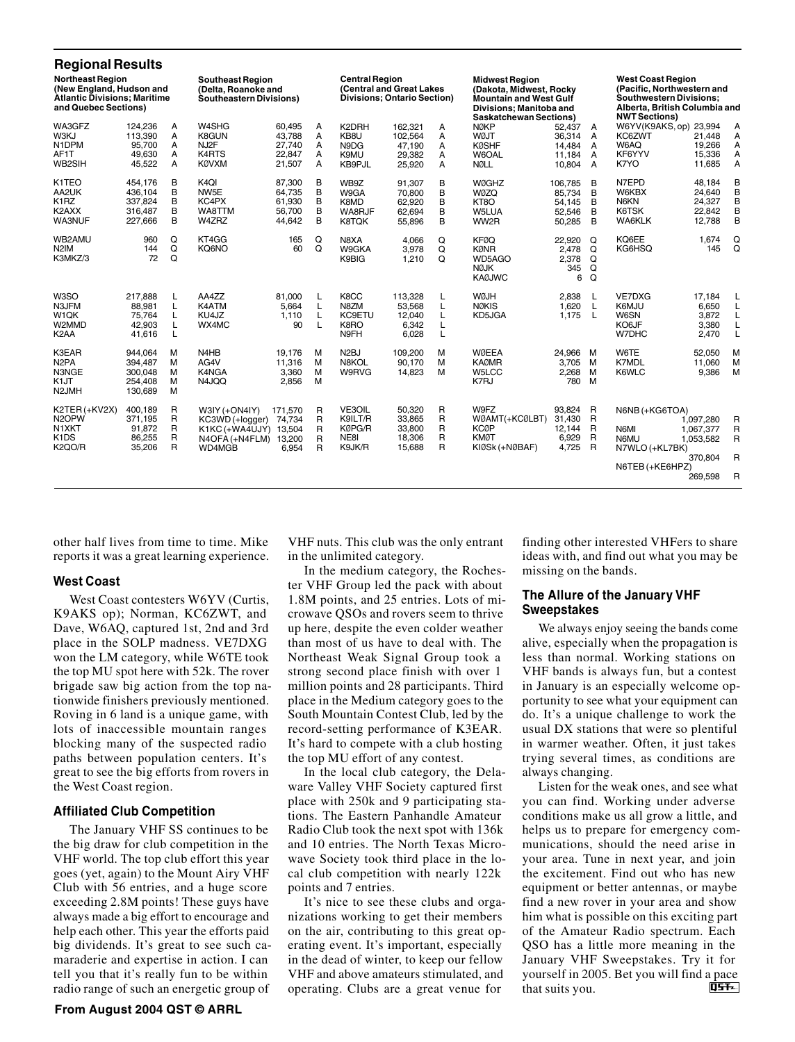| <b>Regional Results</b>                                                                                            |                                                     |                       |                                                                                  |                                                |                       |                                               |                                                         |                       |                                                                                                                                               |                                                  |                                     |                                                                                                                                            |                                                           |                                                          |
|--------------------------------------------------------------------------------------------------------------------|-----------------------------------------------------|-----------------------|----------------------------------------------------------------------------------|------------------------------------------------|-----------------------|-----------------------------------------------|---------------------------------------------------------|-----------------------|-----------------------------------------------------------------------------------------------------------------------------------------------|--------------------------------------------------|-------------------------------------|--------------------------------------------------------------------------------------------------------------------------------------------|-----------------------------------------------------------|----------------------------------------------------------|
| <b>Northeast Region</b><br>(New England, Hudson and<br><b>Atlantic Divisions: Maritime</b><br>and Quebec Sections) |                                                     |                       | <b>Southeast Region</b><br>(Delta, Roanoke and<br><b>Southeastern Divisions)</b> |                                                |                       | <b>Central Region</b>                         | (Central and Great Lakes<br>Divisions; Ontario Section) |                       | <b>Midwest Region</b><br>(Dakota, Midwest, Rocky<br><b>Mountain and West Gulf</b><br>Divisions; Manitoba and<br><b>Saskatchewan Sections)</b> |                                                  |                                     | <b>West Coast Region</b><br>(Pacific, Northwestern and<br>Southwestern Divisions;<br>Alberta, British Columbia and<br><b>NWT Sections)</b> |                                                           |                                                          |
| WA3GFZ<br>W3KJ<br>N1DPM<br>AF1T<br>WB2SIH                                                                          | 124,236<br>113,390<br>95.700<br>49.630<br>45,522    | Α<br>A<br>A<br>A<br>A | W4SHG<br>K8GUN<br>NJ2F<br>K4RTS<br><b>KØVXM</b>                                  | 60,495<br>43,788<br>27.740<br>22.847<br>21,507 | Α<br>A<br>A<br>A<br>А | K2DRH<br>KB8U<br>N9DG<br>K9MU<br>KB9PJL       | 162.321<br>102,564<br>47,190<br>29,382<br>25,920        | A<br>А<br>A<br>А<br>A | <b>NØKP</b><br><b>WØJT</b><br><b>KØSHF</b><br>W6OAL<br><b>NØLL</b>                                                                            | 52,437<br>36,314<br>14,484<br>11,184<br>10.804 A | A<br>$\overline{A}$<br>A<br>A       | W6YV(K9AKS, op) 23,994<br>KC6ZWT<br>W6AQ<br>KF6YYV<br>K7YO                                                                                 | 21,448<br>19,266<br>15,336<br>11,685                      | A<br>A<br>A<br>Α<br>A                                    |
| K1TEO<br>AA2UK<br>K <sub>1</sub> RZ<br>K2AXX<br>WA3NUF                                                             | 454,176<br>436,104<br>337,824<br>316,487<br>227,666 | B<br>B<br>B<br>B<br>B | K <sub>4</sub> QI<br>NW5E<br>KC4PX<br>WA8TTM<br>W4ZRZ                            | 87,300<br>64,735<br>61,930<br>56,700<br>44,642 | в<br>B<br>B<br>B<br>B | WB9Z<br>W9GA<br>K8MD<br>WA8RJF<br>K8TQK       | 91.307<br>70,800<br>62,920<br>62.694<br>55,896          | B<br>B<br>B<br>B<br>B | <b>WØGHZ</b><br><b>WØZQ</b><br>KT8O<br>W5LUA<br>WW2R                                                                                          | 106.785<br>85,734<br>54,145<br>52,546<br>50,285  | B<br>B<br>B<br>B<br>B               | N7EPD<br>W6KBX<br>N6KN<br>K6TSK<br><b>WA6KLK</b>                                                                                           | 48,184<br>24,640<br>24,327<br>22,842<br>12,788            | B<br>B<br>B<br>B<br>B                                    |
| WB2AMU<br>N <sub>2</sub> IM<br>K3MKZ/3                                                                             | 960<br>144<br>72                                    | Q<br>Q<br>Q           | KT4GG<br>KQ6NO                                                                   | 165<br>60                                      | Q<br>Q                | N8XA<br>W9GKA<br>K9BIG                        | 4,066<br>3,978<br>1,210                                 | Q<br>Q<br>Q           | <b>KFØQ</b><br><b>KØNR</b><br>WD5AGO<br><b>NØJK</b><br><b>KAØJWC</b>                                                                          | 22,920<br>2,478<br>2,378<br>345<br>6             | Q<br>Q<br>Q<br>Q<br>Q               | KQ6EE<br>KG6HSQ                                                                                                                            | 1,674<br>145                                              | Q<br>Q                                                   |
| W3SO<br>N3JFM<br>W <sub>1</sub> QK<br>W2MMD<br>K <sub>2</sub> AA                                                   | 217.888<br>88,981<br>75,764<br>42.903<br>41,616     | L<br>L<br>L<br>L<br>L | AA4ZZ<br>K4ATM<br>KU4JZ<br>WX4MC                                                 | 81.000<br>5.664<br>1,110<br>90                 | L<br>L<br>L<br>L      | K8CC<br>N8ZM<br>KC9ETU<br>K8RO<br>N9FH        | 113.328<br>53,568<br>12,040<br>6,342<br>6,028           | L<br>L<br>Г<br>Г<br>Г | <b>WØJH</b><br><b>NØKIS</b><br>KD5JGA                                                                                                         | 2,838<br>1,620<br>1,175                          | L<br>L<br>L                         | VE7DXG<br>K6MJU<br>W6SN<br>KO6JF<br>W7DHC                                                                                                  | 17,184<br>6,650<br>3,872<br>3,380<br>2,470                | L<br>L<br>L<br>L<br>L                                    |
| K3EAR<br>N <sub>2</sub> PA<br>N3NGE<br>K1JT<br>N2JMH                                                               | 944.064<br>394,487<br>300,048<br>254,408<br>130,689 | M<br>м<br>м<br>M<br>м | N <sub>4</sub> H <sub>B</sub><br>AG4V<br>K4NGA<br>N4JQQ                          | 19.176<br>11,316<br>3.360<br>2,856             | M<br>м<br>М<br>M      | N <sub>2</sub> BJ<br>N8KOL<br>W9RVG           | 109,200<br>90,170<br>14,823                             | M<br>M<br>M           | <b>WØEEA</b><br><b>KAØMR</b><br>W5LCC<br>K7RJ                                                                                                 | 24,966<br>3,705<br>2,268<br>780                  | M<br>M<br>M<br>M                    | W6TE<br><b>K7MDL</b><br>K6WLC                                                                                                              | 52,050<br>11,060<br>9,386                                 | M<br>M<br>M                                              |
| K2TER (+KV2X)<br>N <sub>2</sub> OPW<br>N1XKT<br>K <sub>1</sub> D <sub>S</sub><br>K2QO/R                            | 400.189<br>371.195<br>91,872<br>86,255<br>35,206    | R<br>R<br>R<br>R<br>R | $W3IY (+ON4IY)$<br>KC3WD (+logger)<br>K1KC (+WA4UJY)<br>N4OFA (+N4FLM)<br>WD4MGB | 171,570<br>74.734<br>13.504<br>13,200<br>6,954 | R<br>R<br>R<br>R<br>R | VE3OIL<br>K9ILT/R<br>KØPG/R<br>NE8I<br>K9JK/R | 50.320<br>33.865<br>33,800<br>18.306<br>15,688          | R<br>R<br>R<br>R<br>R | W9FZ<br>WØAMT(+KCØLBT)<br><b>KCØP</b><br><b>KMØT</b><br>KIØSk (+NØBAF)                                                                        | 93.824 R<br>31,430<br>12,144<br>6,929<br>4,725 R | $\overline{R}$<br>R<br>$\mathsf{R}$ | N6NB (+KG6TOA)<br>N6MI<br>N6MU<br>N7WLO (+KL7BK)<br>N6TEB (+KE6HPZ)                                                                        | 1.097.280<br>1,067,377<br>1,053,582<br>370.804<br>269,598 | R<br>$\overline{R}$<br>$\mathsf{R}$<br>$\mathsf{R}$<br>R |

other half lives from time to time. Mike reports it was a great learning experience.

# **West Coast**

West Coast contesters W6YV (Curtis, K9AKS op); Norman, KC6ZWT, and Dave, W6AQ, captured 1st, 2nd and 3rd place in the SOLP madness. VE7DXG won the LM category, while W6TE took the top MU spot here with 52k. The rover brigade saw big action from the top nationwide finishers previously mentioned. Roving in 6 land is a unique game, with lots of inaccessible mountain ranges blocking many of the suspected radio paths between population centers. It's great to see the big efforts from rovers in the West Coast region.

## **Affiliated Club Competition**

The January VHF SS continues to be the big draw for club competition in the VHF world. The top club effort this year goes (yet, again) to the Mount Airy VHF Club with 56 entries, and a huge score exceeding 2.8M points! These guys have always made a big effort to encourage and help each other. This year the efforts paid big dividends. It's great to see such camaraderie and expertise in action. I can tell you that it's really fun to be within radio range of such an energetic group of

VHF nuts. This club was the only entrant in the unlimited category.

In the medium category, the Rochester VHF Group led the pack with about 1.8M points, and 25 entries. Lots of microwave QSOs and rovers seem to thrive up here, despite the even colder weather than most of us have to deal with. The Northeast Weak Signal Group took a strong second place finish with over 1 million points and 28 participants. Third place in the Medium category goes to the South Mountain Contest Club, led by the record-setting performance of K3EAR. It's hard to compete with a club hosting the top MU effort of any contest.

In the local club category, the Delaware Valley VHF Society captured first place with 250k and 9 participating stations. The Eastern Panhandle Amateur Radio Club took the next spot with 136k and 10 entries. The North Texas Microwave Society took third place in the local club competition with nearly 122k points and 7 entries.

It's nice to see these clubs and organizations working to get their members on the air, contributing to this great operating event. It's important, especially in the dead of winter, to keep our fellow VHF and above amateurs stimulated, and operating. Clubs are a great venue for

finding other interested VHFers to share ideas with, and find out what you may be missing on the bands.

# **The Allure of the January VHF Sweepstakes**

We always enjoy seeing the bands come alive, especially when the propagation is less than normal. Working stations on VHF bands is always fun, but a contest in January is an especially welcome opportunity to see what your equipment can do. It's a unique challenge to work the usual DX stations that were so plentiful in warmer weather. Often, it just takes trying several times, as conditions are always changing.

Listen for the weak ones, and see what you can find. Working under adverse conditions make us all grow a little, and helps us to prepare for emergency communications, should the need arise in your area. Tune in next year, and join the excitement. Find out who has new equipment or better antennas, or maybe find a new rover in your area and show him what is possible on this exciting part of the Amateur Radio spectrum. Each QSO has a little more meaning in the January VHF Sweepstakes. Try it for yourself in 2005. Bet you will find a pace<br>that suits you. that suits you.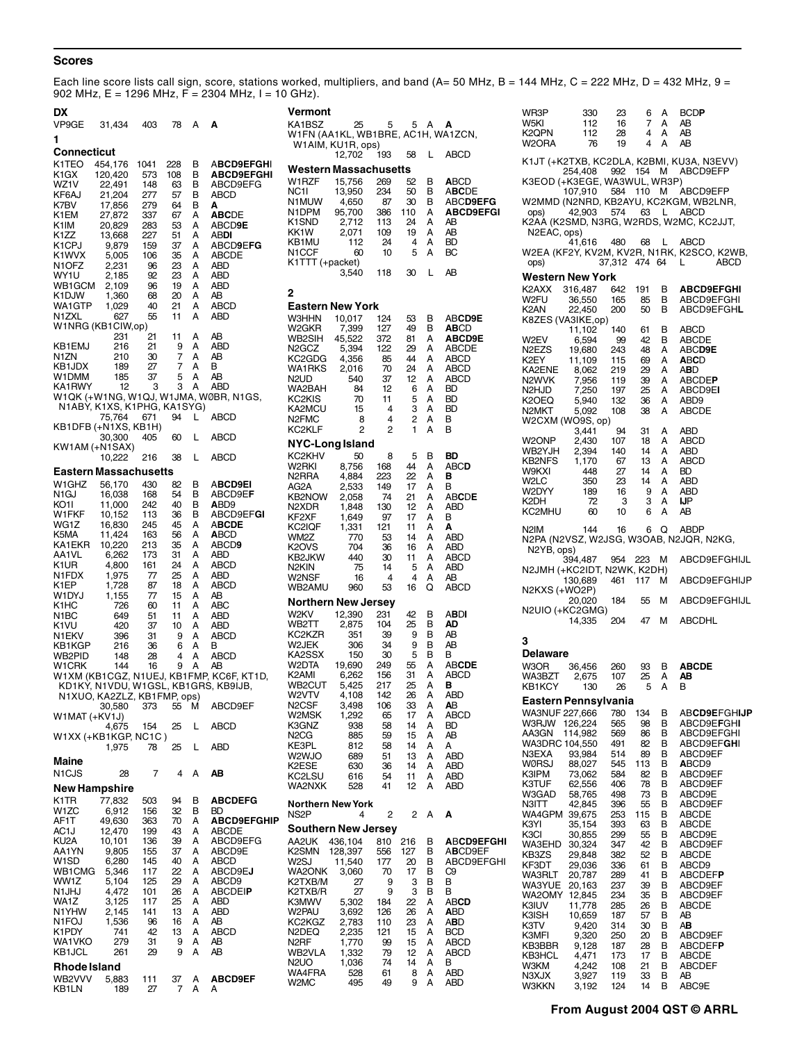# **Scores**

Each line score lists call sign, score, stations worked, multipliers, and band (A= 50 MHz, B = 144 MHz, C = 222 MHz, D = 432 MHz, 9 = 902 MHz, E = 1296 MHz,  $F = 2304$  MHz, I = 10 GHz).

| DX                          |                  |            |          |        |                                                                     |
|-----------------------------|------------------|------------|----------|--------|---------------------------------------------------------------------|
| VP9GE                       | 31,434           | 403        | 78       | А      | Α                                                                   |
| 1                           |                  |            |          |        |                                                                     |
| Connecticut                 |                  |            |          |        |                                                                     |
| K1TEO                       | 454,176          | 1041       | 228      | в      | <b>ABCD9EFGHI</b>                                                   |
| K1GX                        | 120,420          | 573        | 108      | в      | <b>ABCD9EFGHI</b>                                                   |
| WZ1V<br>KF6AJ               | 22,491<br>21,204 | 148<br>277 | 63<br>57 | в<br>В | ABCD9EFG<br>ABCD                                                    |
| K7BV                        | 17,856           | 279        | 64       | В      | Α                                                                   |
| K1EM                        | 27,872           | 337        | 67       | А      | <b>ABCDE</b>                                                        |
| K1IM                        | 20,829           | 283        | 53       | А      | ABCD9E                                                              |
| K1ZZ<br>K1CPJ               | 13,668           | 227<br>159 | 51<br>37 | А<br>A | abdi<br>ABCD9EFG                                                    |
| K1WVX                       | 9,879<br>5,005   | 106        | 35       | A      | <b>ABCDE</b>                                                        |
| N1OFZ                       | 2,231            | 96         | 23       | А      | ABD                                                                 |
| WY1U                        | 2,185            | 92         | 23       | А      | ABD                                                                 |
| WB1GCM<br>K1DJW             | 2,109<br>1,360   | 96<br>68   | 19<br>20 | Α<br>A | ABD<br>AΒ                                                           |
| WA1GTP                      | 1,029            | 40         | 21       | A      | ABCD                                                                |
| N1ZXL                       | 627              | 55         | 11       | A      | ABD                                                                 |
| W1NRG (KB1CIW,op)           |                  |            |          |        |                                                                     |
| KB1EMJ                      | 231<br>216       | 21<br>21   | 11<br>9  | А<br>Α | ΑB<br>ABD                                                           |
| N1ZN                        | 210              | 30         | 7        | A      | AΒ                                                                  |
| KB1JDX                      | 189              | 27         | 7        | A      | в                                                                   |
| W1DMM                       | 185              | 37         | 5        | А      | ΑB                                                                  |
| KA1RWY                      | 12               | 3          | 3        | А      | ABD<br>W1QK (+W1NG, W1QJ, W1JMA, WØBR, N1GS,                        |
| N1ABY, K1XS, K1PHG, KA1SYG) |                  |            |          |        |                                                                     |
|                             | 75,764           | 671        | 94       | L      | ABCD                                                                |
| KB1DFB (+N1XS, KB1H)        | 30,300           | 405        | 60       | L      | ABCD                                                                |
| KW1AM (+N1SAX)              | 10,222           | 216        | 38       | L      | ABCD                                                                |
| Eastern Massachusetts       |                  |            |          |        |                                                                     |
| W1GHZ                       | 56,170           | 430        | 82       | в      | <b>ABCD9EI</b>                                                      |
| N <sub>1</sub> GJ           | 16,038           | 168        | 54       | в      | ABCD9EF                                                             |
| KO1I                        | 11,000           | 242        | 40       | В      | ABD9                                                                |
| W1FKF<br>WG1Z               | 10,152<br>16,830 | 113<br>245 | 36<br>45 | В<br>A | ABCD9EFGI<br><b>ABCDE</b>                                           |
| K5MA                        | 11,424           | 163        | 56       | A      | <b>ABCD</b>                                                         |
| KA1EKR                      | 10,220           | 213        | 35       | A      | ABCD9                                                               |
| AA1VL                       | 6,262            | 173        | 31       | A      | ABD                                                                 |
| K1UR<br>N1FDX               | 4,800<br>1,975   | 161<br>77  | 24<br>25 | A<br>A | ABCD<br>ABD                                                         |
| K1EP                        | 1,728            | 87         | 18       | А      | ABCD                                                                |
| W1DYJ                       | 1,155            | 77         | 15       | A      | AВ                                                                  |
| K1HC                        | 726<br>649       | 60         | 11<br>11 | A<br>A | ABC<br>ABD                                                          |
| N1BC<br>K1VU                | 420              | 51<br>37   | 10       | А      | ABD                                                                 |
| N1EKV                       | 396              | 31         | 9        | A      | ABCD                                                                |
| KB1KGP                      | 216              | 36         | 6        | A      | в                                                                   |
| WB2PID<br>W1CRK             | 148<br>144       | 28<br>16   | 4<br>9   | A<br>А | ABCD<br>AВ                                                          |
|                             |                  |            |          |        | W1XM (KB1CGZ, N1UEJ, KB1FMP, KC6F, KT1D,                            |
|                             |                  |            |          |        | KD1KY, N1VDU, W1GSL, KB1GRS, KB9IJB,<br>N1XUO, KA2ZLZ, KB1FMP, ops) |
|                             |                  |            |          |        |                                                                     |
| W1MAT (+KV1J)               | 30,580 373 55 M  |            |          |        | ABCD9EF                                                             |
| W1XX (+KB1KGP, NC1C)        | 4,675            | 154        | 25       | L      | ABCD                                                                |
|                             | 1,975            | 78         | 25       | L      | ABD                                                                 |
| Maine                       |                  |            |          |        |                                                                     |
| N1CJS                       | 28               | 7          | 4        | А      | AB                                                                  |
| New Hampshire               |                  |            |          |        |                                                                     |
| K1TR<br>W1ZC                | 77,832<br>6,912  | 503<br>156 | 94<br>32 | в<br>В | <b>ABCDEFG</b><br>BD                                                |
| AF1T                        | 49,630           | 363        | 70       | А      | <b>ABCD9EFGHIP</b>                                                  |
| AC1J                        | 12,470           | 199        | 43       | Α      | <b>ABCDE</b>                                                        |
| KU2A                        | 10,101           | 136        | 39       | Α      | ABCD9EFG                                                            |
| AA1YN<br>W <sub>1</sub> SD  | 9,805<br>6,280   | 155<br>145 | 37<br>40 | А<br>А | ABCD9E<br>ABCD                                                      |
| WB1CMG                      | 5,346            | 117        | 22       | Α      | ABCD9EJ                                                             |
| WW1Z                        | 5,104            | 125        | 29       | Α      | ABCD9                                                               |
| N1JHJ                       | 4,472            | 101        | 26       | А      | <b>ABCDEIP</b>                                                      |
| WA1Z<br>N1YHW               | 3,125<br>2,145   | 117<br>141 | 25<br>13 | А<br>А | ABD<br>ABD                                                          |
| N1FOJ                       | 1,536            | 96         | 16       | А      | AΒ                                                                  |
| K1PDY                       | 741              | 42         | 13       | А      | ABCD                                                                |
| WA1VKO<br><b>KB1JCL</b>     | 279<br>261       | 31<br>29   | 9<br>9   | Α<br>A | AΒ<br>AΒ                                                            |
| Rhode Island                |                  |            |          |        |                                                                     |
| WB2VVV                      | 5,883            | 111        | 37       | А      | <b>ABCD9EF</b>                                                      |
| KB1LN                       | 189              | 27         | 7        | Α      | А                                                                   |

|   | Vermont                                                                                                                                                                                                     |                                                                                                                                    |                                                                                                          |                                                                                                       |                                                                                        |                                                                                                                                   |
|---|-------------------------------------------------------------------------------------------------------------------------------------------------------------------------------------------------------------|------------------------------------------------------------------------------------------------------------------------------------|----------------------------------------------------------------------------------------------------------|-------------------------------------------------------------------------------------------------------|----------------------------------------------------------------------------------------|-----------------------------------------------------------------------------------------------------------------------------------|
|   | KA1BSZ<br>W1FN (AA1KL, WB1BRE, AC1H, WA1ZCN,                                                                                                                                                                | 25                                                                                                                                 | 5                                                                                                        | 5                                                                                                     | А                                                                                      | А                                                                                                                                 |
|   |                                                                                                                                                                                                             | W1AIM, KU1R, ops)<br>12,702                                                                                                        | 193                                                                                                      | 58                                                                                                    | Г                                                                                      | <b>ABCD</b>                                                                                                                       |
|   | Western Massachusetts                                                                                                                                                                                       |                                                                                                                                    |                                                                                                          |                                                                                                       |                                                                                        |                                                                                                                                   |
|   | W1RZF<br>NC1I<br>N1MUW<br>N1DPM<br>K1SND<br>KK1W<br>KB1MU<br>N1CCF<br>K1TTT (+packet)                                                                                                                       | 15,756<br>13,950<br>4,650<br>95,700<br>2,712<br>2,071<br>112<br>60<br>3,540                                                        | 269<br>234<br>87<br>386<br>113<br>109<br>24<br>10<br>118                                                 | 52<br>50<br>30<br>110<br>24<br>19<br>4<br>5<br>30                                                     | в<br>в<br>в<br>A<br>А<br>A<br>А<br>A<br>L                                              | ABCD<br><b>ABCDE</b><br><b>ABCD9EFG</b><br><b>ABCD9EFGI</b><br>AΒ<br>AB<br>BD<br>BС<br>AB                                         |
|   | 2                                                                                                                                                                                                           |                                                                                                                                    |                                                                                                          |                                                                                                       |                                                                                        |                                                                                                                                   |
|   | <b>Eastern New York</b><br>W3HHN<br>W2GKR<br>WB2SIH<br>N <sub>2</sub> GCZ<br>KC2GDG<br>WA1RKS<br>N <sub>2</sub> U <sub>D</sub><br>WA2BAH<br>KC2KIS<br>KA2MCU<br>N <sub>2</sub> FM <sub>C</sub><br>KC2KLF    | 10,017<br>7,399<br>45,522<br>5,394<br>4,356<br>2,016<br>540<br>84<br>70<br>15<br>8<br>2                                            | 124<br>127<br>372<br>122<br>85<br>70<br>37<br>12<br>11<br>4<br>4<br>2                                    | 53<br>49<br>81<br>29<br>44<br>24<br>12<br>6<br>5<br>3<br>2<br>1                                       | В<br>в<br>A<br>A<br>A<br>A<br>A<br>A<br>A<br>A<br>A<br>A                               | ABCD9E<br>ABCD<br><b>ABCD9E</b><br><b>ABCDE</b><br>ABCD<br>ABCD<br>ABCD<br>BD<br>BD<br>BD<br>в<br>В                               |
|   | NYC-Long Island<br>KC2KHV                                                                                                                                                                                   | 50                                                                                                                                 | 8                                                                                                        | 5                                                                                                     | В                                                                                      | BD                                                                                                                                |
|   | W2RKI<br>N2RRA<br>AG2A<br>KB2NOW<br>N2XDR<br>KF2XF<br>KC2IQF<br>WM2Z<br>K2OVS<br>KB2JKW<br>N2KIN<br>W2NSF<br>WB2AMU                                                                                         | 8,756<br>4,884<br>2,533<br>2,058<br>1,848<br>1,649<br>1,331<br>770<br>704<br>440<br>75<br>16<br>960                                | 168<br>223<br>149<br>74<br>130<br>97<br>121<br>53<br>36<br>30<br>14<br>4<br>53                           | 44<br>22<br>17<br>21<br>12<br>17<br>11<br>14<br>16<br>11<br>5<br>4<br>16                              | A<br>A<br>A<br>А<br>A<br>А<br>A<br>А<br>A<br>A<br>A<br>А<br>Q                          | <b>ABCD</b><br>в<br>в<br>ABCDE<br>ABD<br>в<br>A<br>ABD<br>ABD<br>ABCD<br>ABD<br>AΒ<br>ABCD                                        |
|   | <b>Northern New Jersey</b><br>W2KV                                                                                                                                                                          | 12,390                                                                                                                             | 231                                                                                                      |                                                                                                       |                                                                                        |                                                                                                                                   |
|   | WB2TT<br>KC2KZR<br>W2JEK<br>KA2SSX<br>W2DTA<br>K2AMI<br>WB2CUT<br>W2VTV<br>N2CSF<br>W2MSK<br>K3GNZ<br>N <sub>2</sub> CG<br>KE3PL<br>W2WJO<br>K2ESE<br>KC2LSU<br>WA2NXK                                      | 2,875<br>351<br>306<br>150<br>19,690<br>6,262<br>5,425<br>4,108<br>3,498<br>1,292<br>938<br>885<br>812<br>689<br>630<br>616<br>528 | 104<br>39<br>34<br>30<br>249<br>156<br>217<br>142<br>106<br>65<br>58<br>59<br>58<br>51<br>36<br>54<br>41 | 42<br>25<br>9<br>9<br>5<br>55<br>31<br>25<br>26<br>33<br>17<br>14<br>15<br>14<br>13<br>14<br>11<br>12 | В<br>В<br>В<br>В<br>В<br>А<br>Α<br>A<br>A<br>Α<br>Α<br>Α<br>А<br>Α<br>Α<br>А<br>Α<br>Α | abdi<br>AD<br>AΒ<br>AB<br>в<br><b>ABCDE</b><br>ABCD<br>в<br><b>ABD</b><br>AB<br>ABCD<br>BD<br>AΒ<br>А<br>ABD<br>ABD<br>ABD<br>ABD |
| Þ | <b>Northern New York</b><br>NS <sub>2</sub> P                                                                                                                                                               | 4                                                                                                                                  | 2                                                                                                        | 2                                                                                                     | А                                                                                      | A                                                                                                                                 |
|   | <b>Southern New Jersey</b><br>AA2UK<br>K <sub>2</sub> SM <sub>N</sub><br>W2SJ<br>WA2ONK<br>K2TXB/M<br>K2TXB/R<br>K3MWV<br>W2PAU<br>KC2KGZ<br>N2DEQ<br>N <sub>2</sub> RF<br>WB2VLA<br>N2UO<br>WA4FRA<br>W2MC | 436,104<br>128,397<br>11,540<br>3,060<br>27<br>27<br>5,302<br>3,692<br>2,783<br>2,235<br>1,770<br>1,332<br>1,036<br>528<br>495     | 810<br>556<br>177<br>70<br>9<br>9<br>184<br>126<br>110<br>121<br>99<br>79<br>74<br>61<br>49              | 216<br>127<br>20<br>17<br>3<br>3<br>22<br>26<br>23<br>15<br>15<br>12<br>14<br>8<br>9                  | В<br>В<br>в<br>В<br>В<br>В<br>Α<br>Α<br>Α<br>Α<br>Α<br>Α<br>Α<br>Α<br>Α                | <b>ABCD9EFGHI</b><br>ABCD9EF<br>ABCD9EFGHI<br>C9<br>В<br>В<br>ABCD<br>abd<br>ABD<br><b>BCD</b><br>ABCD<br>ABCD<br>В<br>ABD<br>ABD |

| 112<br>112<br>76                                                                                                                                                                                                                                                             | 16<br>28<br>19                                                                                                                                                                            | 7<br>4<br>4                                                                                                                                                      | А<br>А<br>A                                                                                                                         | AB<br>AΒ<br>AB                                                                                                                                                                                                                                                                                                                                |
|------------------------------------------------------------------------------------------------------------------------------------------------------------------------------------------------------------------------------------------------------------------------------|-------------------------------------------------------------------------------------------------------------------------------------------------------------------------------------------|------------------------------------------------------------------------------------------------------------------------------------------------------------------|-------------------------------------------------------------------------------------------------------------------------------------|-----------------------------------------------------------------------------------------------------------------------------------------------------------------------------------------------------------------------------------------------------------------------------------------------------------------------------------------------|
|                                                                                                                                                                                                                                                                              |                                                                                                                                                                                           |                                                                                                                                                                  |                                                                                                                                     | ABCD9EFP                                                                                                                                                                                                                                                                                                                                      |
|                                                                                                                                                                                                                                                                              |                                                                                                                                                                                           |                                                                                                                                                                  |                                                                                                                                     | ABCD9EFP                                                                                                                                                                                                                                                                                                                                      |
| 42,903<br>N2EAC, ops)                                                                                                                                                                                                                                                        |                                                                                                                                                                                           |                                                                                                                                                                  |                                                                                                                                     | <b>ABCD</b>                                                                                                                                                                                                                                                                                                                                   |
|                                                                                                                                                                                                                                                                              |                                                                                                                                                                                           |                                                                                                                                                                  | L.                                                                                                                                  | <b>ABCD</b><br>L.<br><b>ABCD</b>                                                                                                                                                                                                                                                                                                              |
|                                                                                                                                                                                                                                                                              |                                                                                                                                                                                           |                                                                                                                                                                  |                                                                                                                                     |                                                                                                                                                                                                                                                                                                                                               |
| 316,487<br>36,550<br>22,450                                                                                                                                                                                                                                                  | 642<br>165<br>200                                                                                                                                                                         | 191<br>85<br>50                                                                                                                                                  | в<br>В<br>В                                                                                                                         | <b>ABCD9EFGHI</b><br>ABCD9EFGHI<br>ABCD9EFGHL                                                                                                                                                                                                                                                                                                 |
| 11,102<br>6,594<br>19,680<br>11,109<br>8,062<br>7,956<br>7,250<br>5,940<br>5,092                                                                                                                                                                                             | 140<br>99<br>243<br>115<br>219<br>119<br>197<br>132<br>108                                                                                                                                | 61<br>42<br>48<br>69<br>29<br>39<br>25<br>36<br>38                                                                                                               | в<br>В<br>A<br>A<br>A<br>A<br>A<br>A<br>A                                                                                           | ABCD<br><b>ABCDE</b><br><b>ABCD9E</b><br><b>ABCD</b><br>ABD<br><b>ABCDEP</b><br>ABCD9EI<br>ABD9<br><b>ABCDE</b>                                                                                                                                                                                                                               |
| 3,441<br>2,430<br>2,394<br>1,170<br>448<br>350<br>189<br>72<br>60                                                                                                                                                                                                            | 94<br>107<br>140<br>67<br>27<br>23<br>16<br>3<br>10                                                                                                                                       | 31<br>18<br>14<br>13<br>14<br>14<br>9<br>3<br>6                                                                                                                  | Α<br>А<br>A<br>А<br>A<br>А<br>A<br>А<br>A                                                                                           | <b>ABD</b><br><b>ABCD</b><br>ABD<br>ABCD<br>BD<br>ABD<br><b>ABD</b><br>IJР<br>AB                                                                                                                                                                                                                                                              |
| 144                                                                                                                                                                                                                                                                          | 16                                                                                                                                                                                        | 6                                                                                                                                                                | Q                                                                                                                                   | ABDP                                                                                                                                                                                                                                                                                                                                          |
| 394,487                                                                                                                                                                                                                                                                      | 954                                                                                                                                                                                       | 223                                                                                                                                                              | М                                                                                                                                   | ABCD9EFGHIJL                                                                                                                                                                                                                                                                                                                                  |
| 130,689                                                                                                                                                                                                                                                                      | 461                                                                                                                                                                                       | 117                                                                                                                                                              | М                                                                                                                                   | ABCD9EFGHIJP                                                                                                                                                                                                                                                                                                                                  |
| 20,020                                                                                                                                                                                                                                                                       | 184                                                                                                                                                                                       | 55                                                                                                                                                               | м                                                                                                                                   | ABCD9EFGHIJL                                                                                                                                                                                                                                                                                                                                  |
| 14,335                                                                                                                                                                                                                                                                       | 204                                                                                                                                                                                       | 47                                                                                                                                                               | м                                                                                                                                   | ABCDHL                                                                                                                                                                                                                                                                                                                                        |
| Delaware<br>36,456<br>2,675<br>130                                                                                                                                                                                                                                           | 260<br>107<br>26                                                                                                                                                                          | 93<br>25<br>5                                                                                                                                                    | В<br>А<br>А                                                                                                                         | <b>ABCDE</b><br>AB<br>в                                                                                                                                                                                                                                                                                                                       |
|                                                                                                                                                                                                                                                                              |                                                                                                                                                                                           |                                                                                                                                                                  |                                                                                                                                     | <b>ABCD9EFGHIJP</b>                                                                                                                                                                                                                                                                                                                           |
| W3RJW 126,224<br>114,982<br>104,550<br>93,984<br>88,027<br>73,062<br>62,556<br>58,765<br>42,845<br>39,675<br>35,154<br>30,855<br>30,324<br>29,848<br>29,036<br>20,787<br>20,163<br>12,845<br>11,778<br>10,659<br>9,420<br>9,320<br>9,128<br>4,471<br>4,242<br>3,927<br>3,192 | 565<br>569<br>491<br>514<br>545<br>584<br>406<br>498<br>396<br>253<br>393<br>299<br>347<br>382<br>336<br>289<br>237<br>234<br>285<br>187<br>314<br>250<br>187<br>173<br>108<br>119<br>124 | 98<br>86<br>82<br>89<br>113<br>82<br>78<br>73<br>55<br>115<br>63<br>55<br>42<br>52<br>61<br>41<br>39<br>35<br>26<br>57<br>30<br>20<br>28<br>17<br>21<br>33<br>14 | В<br>в<br>В<br>В<br>В<br>В<br>В<br>В<br>в<br>в<br>В<br>в<br>в<br>в<br>В<br>В<br>В<br>в<br>В<br>В<br>В<br>в<br>В<br>В<br>В<br>В<br>В | ABCD9EFGHI<br>ABCD9EFGHI<br>ABCD9EFGHI<br>ABCD9EF<br>ABCD9<br>ABCD9EF<br>ABCD9EF<br>ABCD9E<br>ABCD9EF<br>ABCDE<br><b>ABCDE</b><br>ABCD9E<br>ABCD9EF<br>ABCDE<br>ABCD9<br><b>ABCDEFP</b><br>ABCD9EF<br>ABCD9EF<br>ABCDE<br>AΒ<br>AВ<br>ABCD9EF<br><b>ABCDEFP</b><br>ABCDE<br>ABCDEF<br>AΒ<br>ABC9E                                             |
|                                                                                                                                                                                                                                                                              | 254,408<br>41,616<br>N2YB, ops)<br>N2KXS (+WO2P)<br>WA3NUF 227,666                                                                                                                        | 992<br>480<br>Western New York<br>K8ZES (VA3IKE,op)<br>W2CXM (WO9S, op)<br>N2UIO (+KC2GMG)<br>780                                                                | 107,910 584 110<br>Eastern Pennsylvania<br>134                                                                                      | K1JT (+K2TXB, KC2DLA, K2BMI, KU3A, N3EVV)<br>154 M<br>K3EOD (+K3EGE, WA3WUL, WR3P)<br>- M<br>W2MMD (N2NRD, KB2AYU, KC2KGM, WB2LNR,<br>574 63 L<br>K2AA (K2SMD, N3RG, W2RDS, W2MC, KC2JJT,<br>68<br>W2EA (KF2Y, KV2M, KV2R, N1RK, K2SCO, K2WB,<br>37,312 474 64<br>N2PA (N2VSZ, W2JSG, W3OAB, N2JQR, N2KG,<br>N2JMH (+KC2IDT, N2WK, K2DH)<br>В |

WR3P 330 23 6 A BCD**P**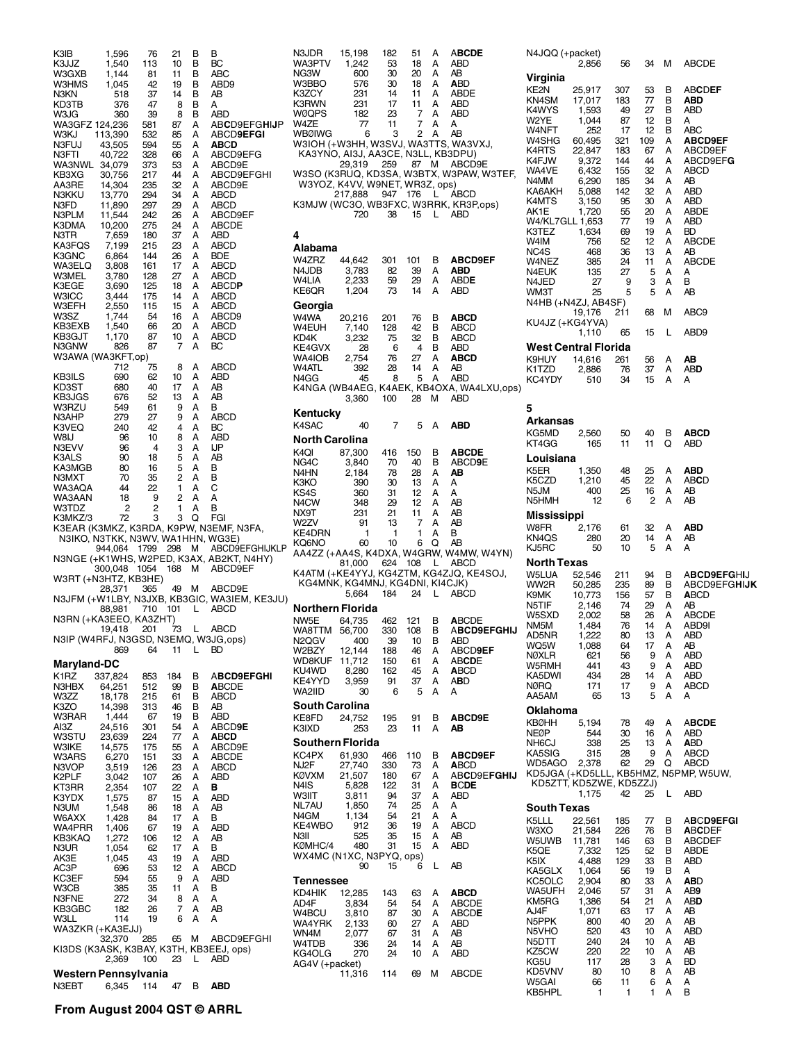| K3IB                                 | 1,596                             | 76         | 21       | В      | В                                            |
|--------------------------------------|-----------------------------------|------------|----------|--------|----------------------------------------------|
| K3JJZ<br>W3GXB                       | 1,540<br>1,144                    | 113<br>81  | 10<br>11 | в<br>в | BС<br>ABC                                    |
| W3HMS                                | 1,045                             | 42         | 19       | в      | ABD9                                         |
| N3KN                                 | 518                               | 37         | 14       | в      | AВ                                           |
| KD3TB                                | 376                               | 47         | 8        | в      | А                                            |
| W3JG<br>WA3GFZ 124,236               | 360                               | 39<br>581  | 8<br>87  | в<br>A | abd<br>ABCD9EFGHIJP                          |
| WЗKJ                                 | 113,390                           | 532        | 85       | А      | ABCD <b>9EFGI</b>                            |
| N3FUJ                                | 43,505                            | 594        | 55       | A      | ABCD                                         |
| N3FTI                                | 40,722                            | 328        | 66       | А      | ABCD9EFG                                     |
| WA3NWL                               | 34,079                            | 373        | 53       | А      | ABCD9E                                       |
| KB3XG                                | 30,756                            | 217        | 44<br>32 | А<br>A | ABCD9EFGHI                                   |
| AA3RE<br>N3KKU                       | 14,304<br>13,770                  | 235<br>294 | 34       | А      | ABCD9E<br>ABCD                               |
| N3FD                                 | 11,890                            | 297        | 29       | A      | <b>ABCD</b>                                  |
| N3PLM                                | 11,544                            | 242        | 26       | А      | ABCD9EF                                      |
| K3DMA                                | 10,200                            | 275        | 24       | A      | <b>ABCDE</b>                                 |
| N3TR<br>KA3FQS                       | 7,659<br>7,199                    | 180<br>215 | 37<br>23 | А<br>А | ABD<br>ABCD                                  |
| K3GNC                                | 6,864                             | 144        | 26       | А      | BDE                                          |
| WA3ELQ                               | 3,808                             | 161        | 17       | A      | ABCD                                         |
| W3MEL                                | 3,780                             | 128        | 27       | А      | ABCD                                         |
| K3EGE                                | 3,690                             | 125        | 18       | А      | <b>ABCDP</b>                                 |
| <b>W3ICC</b><br>W3EFH                | 3,444<br>2,550                    | 175<br>115 | 14<br>15 | A<br>A | ABCD<br>ABCD                                 |
| W3SZ                                 | 1,744                             | 54         | 16       | А      | ABCD9                                        |
| KB3EXB                               | 1,540                             | 66         | 20       | А      | ABCD                                         |
| KB3GJT                               | 1,170                             | 87         | 10       | А      | ABCD                                         |
| N3GNW                                | 826                               | 87         | 7        | A      | BС                                           |
| W3AWA (WA3KFT,op)                    |                                   |            | 8        | A      | ABCD                                         |
| KB3ILS                               | 712<br>690                        | 75<br>62   | 10       | А      | ABD                                          |
| KD3ST                                | 680                               | 40         | 17       | A      | AΒ                                           |
| KB3JGS                               | 676                               | 52         | 13       | А      | AB                                           |
| W3RZU                                | 549                               | 61         | 9        | А      | в                                            |
| N3AHP                                | 279                               | 27         | 9<br>4   | А<br>A | ABCD                                         |
| K3VEQ<br>W8IJ                        | 240<br>96                         | 42<br>10   | 8        | А      | BС<br>ABD                                    |
| N3EVV                                | 96                                | 4          | 3        | A      | IJР                                          |
| K3ALS                                | 90                                | 18         | 5        | A      | AВ                                           |
| KA3MGB                               | 80                                | 16         | 5        | A      | в                                            |
| N3MXT                                | 70                                | 35         | 2        | A      | в                                            |
| WA3AQA<br>WA3AAN                     | 44<br>18                          | 22<br>9    | 1<br>2   | А<br>А | С<br>А                                       |
|                                      |                                   |            |          |        |                                              |
|                                      |                                   |            |          |        |                                              |
| W3TDZ<br>K3MKZ/3                     | 2<br>72                           | 2<br>3     | 1<br>3   | A<br>Q | в<br>FGI                                     |
|                                      |                                   |            |          |        | K3EAR (K3MKZ, K3RDA, K9PW, N3EMF, N3FA,      |
|                                      | N3IKO, N3TKK, N3WV, WA1HHN, WG3E) |            |          |        |                                              |
|                                      | 944,064                           | 1799 298   |          | м      | ABCD9EFGHIJKLP                               |
|                                      |                                   |            |          |        | N3NGE (+K1WHS, W2PED, K3AX, AB2KT, N4HY)     |
| W3RT (+N3HTZ, KB3HE)                 | 300,048                           | 1054       | 168      | М      | ABCD9EF                                      |
|                                      | 28,371                            | 365        | 49       | М      | ABCD9E                                       |
|                                      |                                   |            |          |        | N3JFM (+W1LBY, N3JXB, KB3GIC, WA3IEM, KE3JU) |
|                                      | 88,981                            | 710        | 101      | L      | ABCD                                         |
| N3RN (+KA3EEO, KA3ZHT)               |                                   |            |          |        |                                              |
|                                      | 19,418                            | 201        | 73       | L      | ABCD                                         |
| N3IP (W4RFJ, N3GSD, N3EMQ, W3JG,ops) |                                   | 869 64     | 11       | L,     | BD                                           |
|                                      |                                   |            |          |        |                                              |
| Maryland-DC<br>K <sub>1</sub> RZ     | 337,824                           | 853        | 184      | В      | <b>ABCD9EFGHI</b>                            |
| N3HBX                                | 64,251                            | 512        | 99       | В      | <b>ABCDE</b>                                 |
| W3ZZ                                 | 18,178                            | 215        | 61       | В      | ABCD                                         |
| K3ZO                                 | 14,398                            | 313        | 46       | В      | AB                                           |
| W3RAR                                | 1,444                             | 67         | 19       | В      | ABD                                          |
| AI3Z<br>W3STU                        | 24.516<br>23,639                  | 301<br>224 | 54<br>77 | Α<br>А | ABCD9E<br>ABCD                               |
| W3IKE                                | 14,575                            | 175        | 55       | А      | ABCD9E                                       |
| W3ARS                                | 6,270                             | 151        | 33       | А      | ABCDE                                        |
| N3VOP                                | 3,519                             | 126        | 23       | А      | ABCD                                         |
| K2PLF                                | 3,042                             | 107        | 26       | Α      | ABD                                          |
| KT3RR<br>K3YDX                       | 2,354                             | 107<br>87  | 22<br>15 | Α<br>Α | в<br>ABD                                     |
| N3UM                                 | 1,575<br>1,548                    | 86         | 18       | Α      | AΒ                                           |
| W6AXX                                | 1,428                             | 84         | 17       | Α      | в                                            |
| WA4PRR                               | 1,406                             | 67         | 19       | Α      | ABD                                          |
| KB3KAQ                               | 1,272                             | 106        | 12       | Α      | AΒ                                           |
| N3UR<br>AK3E                         | 1,054                             | 62<br>43   | 17<br>19 | Α<br>Α | в<br>ABD                                     |
| AC3P                                 | 1,045<br>696                      | 53         | 12       | Α      | ABCD                                         |
| KC3EF                                | 594                               | 55         | 9        | Α      | ABD                                          |
| W3CB                                 | 385                               | 35         | 11       | А      | В                                            |
| N3FNE                                | 272                               | 34         | 8        | А      | А                                            |
| KB3GBC                               | 182                               | 26         | 7        | А<br>А | AΒ<br>A                                      |
| W3LL<br>WA3ZKR (+KA3EJJ)             | 114                               | 19         | 6        |        |                                              |
|                                      | 32,370                            | 285        | 65       | м      | ABCD9EFGHI                                   |
|                                      |                                   |            |          |        | KI3DS (K3ASK, K3BAY, K3TH, KB3EEJ, ops)      |
|                                      | 2,369                             | 100        | 23       | L      | ABD                                          |
| Western Pennsylvania<br>N3EBT        | 6,345 114                         |            | 47 B     |        | <b>ABD</b>                                   |

N3JDR 15,198 182 51 A A**BCDE** WA3PTV 1,242 53 18 A ABD NG3W 600 30 20 A AB<br>W3BBO 576 30 18 A ABD W3BBO 576 30 18 A **A**BD K3ZCY 231 14 11 A ABD<br>K3RWN 231 17 11 A ABD K3RWN 231 17 11 A ABD WØQPS 182 23 7 A AI<br>W4ZE 77 11 7 A A W4ZE 77 11 7 A A<br>WBØIWG 6 3 2 A AB WBØIWG 6 3 2 A AB W3IOH (+W3HH, W3SVJ, WA3TTS, WA3VXJ, KA3YNO, AI3J, AA3CE, N3LL, KB3DPU) 29,319 259 87 M ABCD9E W3SO (K3RUQ, KD3SA, W3BTX, W3PAW, W3TEF, W3YOZ, K4VV, W9NET, WR3Z, ops) 217,888 947 176 L ABCD K3MJW (WC3O, WB3FXC, W3RRK, KR3P,ops) 720 38 15 L ABD **4 Alabama** W4ZRZ 44,642 301 101 B **ABCD9EF** N4JDB 3,783 82 39 A<br>W4LIA 2,233 59 29 A W4LIA 2,233 59 29 A ABD**E** KE6QR **Georgia** W4WA 20,216 201 76 B **ABCD** W4EUH 7,140 128 42 B ABCD W4EUH 7,140 128 42 B ABCD<br>KD4K 3,232 75 32 B ABCD<br>KE4GVX 28 6 4 B ABD KE4GVX 28 6 4 B ABD<br>WA4IOB 2,754 76 27 A **ABCD** wa4iob 2,754 76 27 A **AB**<br>W4ATL 392 28 14 A AB W4ATL 392 28 14 A AB  $N4GG$ K4NGA (WB4AEG, K4AEK, KB4OXA, WA4LXU,ops)<br>3,360 100 28 M ABD 28 M ABD **Kentucky** K4SAC 40 7 5 A **ABD North Carolina** K4QI 87,300 416 150 B **ABCDE** 1,840 70 40 B ABCD**9**E<br>2,184 78 28 A **AB** N4HN 2,184 78 28 A **AB** K3KO 390 30 13 A A KS4S 360 31 12 A A<br>N4CW 348 29 12 A AB N4CW 348 29 12 A AB<br>NX9T 231 21 11 A AB<br>W2ZV 91 13 7 A AB NX9T 231 21 11 A AB W2ZV 91 13 7 A AB KE4DRN 1 1 1 A B<br>KO6NO 60 10 6 Q AB KQ6NO 60 10 6 Q AB<br>AA4ZZ (+AA4S, K4DXA, W4GRW, W4MW, W4YN) 81,000 624 108 L ABCD K4ATM (+KE4YYJ, KG4ZTM, KG4ZJQ, KE4SOJ, KG4MNK, KG4MNJ, KG4DNI, KI4CJK) 5,664 184 24 L ABCD **Northern Florida**<br>NW5E 64,735 462 121 B **A**BCDE<br>330 108 B A**BCD9EFGHIJ**<br>39 10 B ABD WA8TTM 56,700 330 108 B A**BC**<br>N2OGV 400 39 10 B ABD N2QGV 400 39 10 B<br>W2BZY 12.144 188 46 A 12,144 188 46 A ABCD**9EF**<br>11.712 150 61 A AB**CDE** WD8KUF 11,712 150 61 A AB**CD**<br>KU4WD 8,280 162 45 A **A**BCD KU4WD 8,280 162 45 A **A**BC<br>KE4YYD 3,959 91 37 A A**B**D KE4YYD 3,959 91 37 A A**B**D WA2IID **South Carolina**<br>KE8FD 24,752 752 195 91 B **ABCD9E**<br>253 23 11 A **AB** K3IXD **Southern Florida** KC4PX 61,930 466 110 B **ABCD9EF** NJ2F 27,740 330 73 A<br>**KØVXM 21,507 180 67** A KØVXM 21,507 180 67 A AB**C**D9E**FGHIJ** N4IS 5,828 122 31 A **B**C**DE** W3IIT 3,811 94 37 A A<br>NL7AU 1,850 74 25 A A NL7AU 1,850 74 25 A A 1,134 54 21 A A<br>912 36 19 A ABCD KE4WBO 912 36 19 A AB<br>N3II 525 35 15 A AB N3II 525 33 15 A AB<br>KØMHC/4 480 31 15 A ABD KØMHC/4 480 31 15 A ABD WX4MC (N1XC, N3PYQ, ops) 90 15 6 L AB **Tennessee** KD4HIK 12,285 143 63 A **ABCD** 3,834 54 54 A ABCDE<br>3,810 87 30 A ABCDE W4BCU 3,810 87 30 A ABC<br>**WA4YRK 2,133 60 27 A ABD** WA4YRK 2,133 60 27 A ABI<br>WN4M 2,077 67 31 A AB WN4M 2,077 67 31 A AB W4TDB 336 24 14 A AB KG4OLG AG4V (+packet) 11,316 114 69 M ABCDE

| N4JQQ (+packet)                      | 2,856                            | 56             | 34             | М           | <b>ABCDE</b>                                          |
|--------------------------------------|----------------------------------|----------------|----------------|-------------|-------------------------------------------------------|
| Virginia                             |                                  |                |                |             |                                                       |
| KE2N                                 | 25,917                           | 307            | 53             | В           | <b>ABCDEF</b>                                         |
| KN4SM                                | 17,017                           | 183            | 77             | в           | ABD                                                   |
| K4WYS                                | 1,593                            | 49             | 27             | в           | ABD                                                   |
| W2YE                                 | 1.044                            | 87             | 12             | в           | А                                                     |
| W4NFT                                | 252                              | 17             | 12             | в           | ABC                                                   |
| W4SHG                                | 60,495                           | 321            | 109            | A           | <b>ABCD9EF</b>                                        |
| K4RTS                                | 22,847                           | 183            | 67             | A           | ABCD9EF                                               |
| K4FJW                                | 9,372                            | 144            | 44             | A           | ABCD9EFG                                              |
| WA4VE                                | 6,432                            | 155            | 32             | A           | ABCD                                                  |
| N4MM                                 | 6,290                            | 185            | 34             | A           | AB                                                    |
| KA6AKH                               | 5,088                            | 142            | 32             | A           | ABD                                                   |
| K4MTS                                | 3,150                            | 95             | 30             | A           | ABD                                                   |
| AK1E                                 | 1,720                            | 55             | 20             | A           | ABDE                                                  |
| W4/KL7GLL 1,653<br>K3TEZ<br>W4IM     | 1,634<br>756                     | 77<br>69<br>52 | 19<br>19<br>12 | A<br>A<br>A | <b>ABD</b><br>BD<br><b>ABCDE</b>                      |
| NC4S                                 | 468                              | 36             | 13             | A           | AB                                                    |
| W4NEZ                                | 385                              | 24             | 11             | A           | <b>ABCDE</b>                                          |
| N4EUK                                | 135                              | 27             | 5              | A           | А                                                     |
| N4JED<br>WM3T<br>N4HB (+N4ZJ, AB4SF) | 27<br>25                         | 9<br>5         | 3<br>5         | A<br>A      | в<br>AB                                               |
| KU4JZ (+KG4YVA)                      | 19,176                           | 211            | 68             | М           | ABC9                                                  |
| West Central Florida                 | 1,110                            | 65             | 15             | Г           | ABD9                                                  |
| K9HUY                                | 14,616                           | 261            | 56             | A           | AВ                                                    |
| K1TZD                                | 2,886                            | 76             | 37             | А           | ABD                                                   |
| KC4YDY                               | 510                              | 34             | 15             | А           | А                                                     |
| 5                                    |                                  |                |                |             |                                                       |
| Arkansas<br>KG5MD                    | 2,560                            | 50             | 40             | В           | <b>ABCD</b>                                           |
| KT4GG<br>Louisiana                   | 165                              | 11             | 11             | Q           | ABD                                                   |
| K <sub>5</sub> ER                    | 1,350                            | 48             | 25             | А<br>A      | ABD                                                   |
| K5CZD<br>N5JM<br>N5HMH               | 1,210<br>400<br>12               | 45<br>25<br>6  | 22<br>16<br>2  | А<br>A      | <b>ABCD</b><br>ΑB<br>AB                               |
| <b>Mississippi</b>                   |                                  |                |                |             |                                                       |
| W8FR                                 | 2,176                            | 61             | 32             | Α           | <b>ABD</b>                                            |
| KN <sub>4</sub> QS                   | 280                              | 20             | 14             | A           | AΒ                                                    |
| KJ5RC                                | 50                               | 10             | 5              | Α           | A                                                     |
| <b>North Texas</b><br>W5LUA          | 52,546                           | 211            | 94             | в           | <b>ABCD9EFGHIJ</b>                                    |
| WW2R                                 | 50,285                           | 235            | 89             | в           | <b>ABCD9EFGHIJK</b>                                   |
| K9MK                                 | 10,773                           | 156            | 57             | в           | <b>ABCD</b>                                           |
| N5TIF                                | 2,146                            | 74             | 29             | A           | AB                                                    |
| W5SXD                                | 2,002                            | 58             | 26             | A           | <b>ABCDE</b>                                          |
| NM <sub>5</sub> M                    | 1,484                            | 76             | 14             | A           | ABD9I                                                 |
| AD5NR                                | 1,222                            | 80             | 13             | А           | ABD                                                   |
| WQ5W                                 | 1,088                            | 64             | 17             | А           | AВ                                                    |
| <b>NØXLR</b>                         | 621                              | 56             | 9              | Α           | ABD                                                   |
| W5RMH                                | 441                              | 43             | 9              | Α           | ABD                                                   |
| KA5DWI                               | 434                              | 28             | 14             | Α           | ABD                                                   |
| <b>NØRQ</b>                          | 171                              | 17             | 9              | А           | ABCD                                                  |
| AA5AM                                | 65                               | 13             | 5              | А           | А                                                     |
| Oklahoma<br><b>KBØHH</b>             | 5,194                            | 78             | 49             | А           | <b>ABCDE</b>                                          |
| NEØP                                 | 544                              | 30             | 16             | А           | ABD                                                   |
| NH6CJ                                | 338                              | 25             | 13             | А           | <b>ABD</b>                                            |
| KA5SIG<br>WD5AGO                     | 315<br>2,378                     | 28<br>62       | 9<br>29        | A<br>Q      | ABCD<br>ABCD<br>KD5JGA (+KD5LLL, KB5HMZ, N5PMP, W5UW, |
|                                      | KD5ZTT, KD5ZWE, KD5ZZJ)<br>1,175 | 42             | 25             | L           | ABD                                                   |
| South Texas<br>K5LLL                 | 22,561                           | 185            | 77             | В           | <b>ABCD9EFGI</b>                                      |
| W3XO                                 | 21,584                           | 226            | 76             | В           | <b>ABCDEF</b>                                         |
| W5UWB                                | 11,781                           | 146            | 63             | В           | ABCDEF                                                |
| K5QE                                 | 7,332                            | 125            | 52             | В           | ABDE                                                  |
| K5IX                                 | 4,488                            | 129            | 33             | В           | ABD                                                   |
| KA5GLX                               | 1,064                            | 56             | 19             | В           | А                                                     |
| KC5OLC                               | 2,904                            | 80             | 33             | А           | abd                                                   |
| WA5UFH                               | 2,046                            | 57             | 31             | А           | AB9                                                   |
| KM5RG                                | 1,386                            | 54             | 21             | А           | abd                                                   |
| AJ4F                                 | 1,071                            | 63             | 17             | А           | AΒ                                                    |
| N5PPK                                | 800                              | 40             | 20             | А           | AΒ                                                    |
| N5VHO                                | 520                              | 43             | 10             | А           | ABD                                                   |
| N5DTT                                | 240                              | 24             | 10             | А           | AΒ                                                    |
| KZ5CW                                | 220                              | 22             | 10             | А           | AΒ                                                    |
| KG5U                                 | 117                              | 28             | 3              | А           | BD                                                    |
| KD5VNV                               | 80                               | 10             | 8              |             |                                                       |
| W5GAI<br>KB5HPL                      | 66<br>1                          | 11<br>1        | 6<br>1         | А<br>A<br>А | AB<br>Α<br>В                                          |

**From August 2004 QST © ARRL**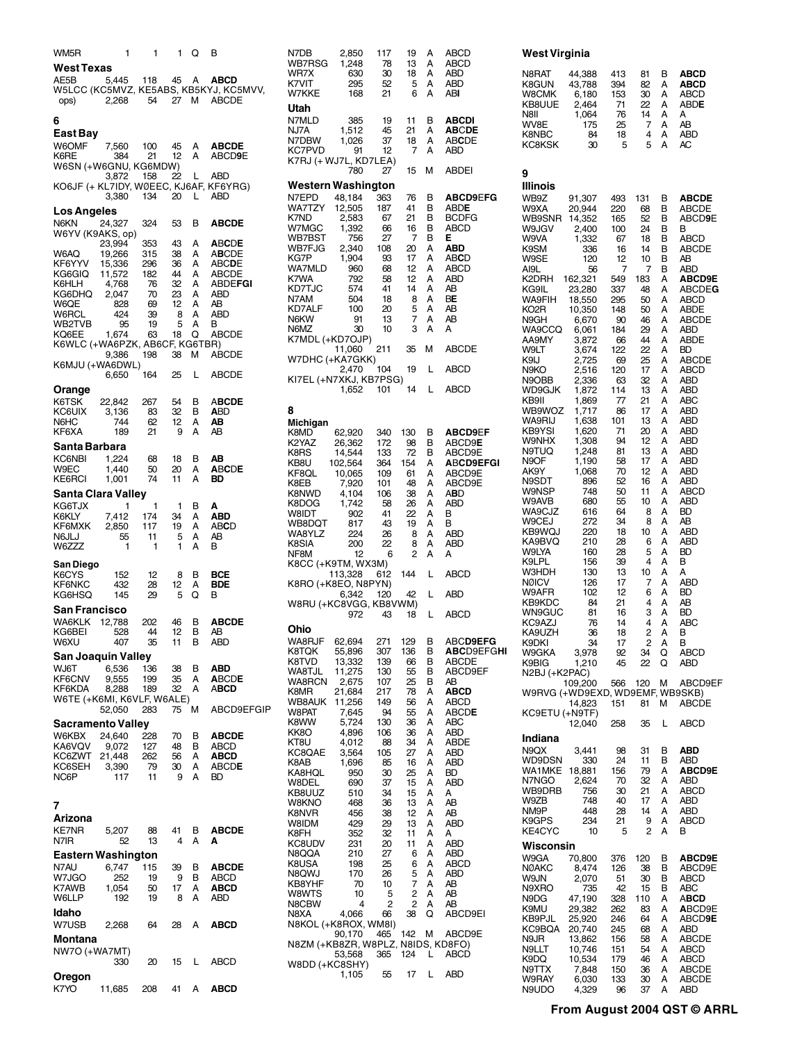| WM5R<br><b>West Texas</b>                         | 1                               | 1                      |                                       | 1 Q                                                           | в                                                                      |
|---------------------------------------------------|---------------------------------|------------------------|---------------------------------------|---------------------------------------------------------------|------------------------------------------------------------------------|
| AE5B<br>ops)                                      | 5.445<br>2,268                  | 118                    | 45                                    | Α                                                             | <b>ABCD</b><br>W5LCC (KC5MVZ, KE5ABS, KB5KYJ, KC5MVV,<br>54 27 M ABCDE |
| 6<br>East Bay                                     |                                 |                        |                                       |                                                               |                                                                        |
| W6OMF<br>K6RE<br>W6SN (+W6GNU, KG6MDW)            | 7,560<br>384                    | 100<br>21              | 45<br>12                              | A<br>$\mathsf{A}$                                             | <b>ABCDE</b><br>ABCD9E                                                 |
|                                                   | 3,872<br>3,380                  | 158<br>134             | - 22<br>20 L                          | L.                                                            | ABD<br>KO6JF (+ KL7IDY, WØEEC, KJ6AF, KF6YRG)<br>ABD                   |
| <b>Los Angeles</b><br>N6KN                        | 24,327                          | 324                    | 53                                    | в                                                             | <b>ABCDE</b>                                                           |
| W6YV (K9AKS, op)<br>W6AQ<br>KF6YYV                | 23,994<br>19,266<br>15,336      | 353<br>315<br>296      | 43<br>38                              | A<br>A                                                        | <b>ABCDE</b><br><b>ABCDE</b><br><b>ABCDE</b>                           |
| KG6GIQ<br>K6HLH                                   | 11,572<br>4,768                 | 182<br>76              | 36<br>44                              | A<br>A<br>A                                                   | <b>ABCDE</b><br><b>ABDEFGI</b>                                         |
| KG6DHQ<br>W6QE<br>W6RCL                           | 2,047<br>828<br>424             | 70<br>69<br>39         | $\frac{1}{2}$<br>$\frac{23}{12}$<br>8 | A<br>$\mathsf{A}% _{\mathsf{A}}\left( \mathsf{A}\right)$<br>A | ABD<br>ΑB<br>ABD                                                       |
| WB2TVB<br>KQ6EE<br>K6WLC (+WA6PZK, AB6CF, KG6TBR) | 95<br>1,674                     | 19<br>63               | 5<br>18                               | A<br>Q                                                        | в<br>ABCDE                                                             |
| K6MJU (+WA6DWL)                                   | 9,386<br>6,650                  | 198<br>164             | 38<br>25                              | м<br>L.                                                       | <b>ABCDE</b><br><b>ABCDE</b>                                           |
| Orange<br>K6TSK<br>KC6UIX<br>N6HC .<br>KF6XA      | 22,842<br>3,136<br>744<br>189   | 267<br>83<br>62<br>21  | 54<br>32<br>12<br>9                   | В<br>в<br>A<br>A                                              | <b>ABCDE</b><br><b>ABD</b><br>AB<br>ΑB                                 |
| Santa Barbara<br>KC6NBI<br>W9EC<br>KE6RCI         | 1,224<br>1,440<br>1,001         | 68<br>50<br>74         | 18<br>20<br>11                        | в<br>A<br>A                                                   | AΒ<br><b>ABCDE</b><br>BD                                               |
| Santa Clara Valley<br>KG6TJX                      | 1                               | 1                      | 1                                     | В                                                             | Α                                                                      |
| K6KLY<br>KF6MXK<br>N6JLJ<br>W6ZZZ                 | 7,412<br>2,850<br>55<br>1       | 174<br>117<br>11<br>1  | 34<br>19<br>5<br>1                    | A<br>A<br>A<br>A                                              | ABD<br><b>ABCD</b><br>AB<br>в                                          |
| San Diego<br>K6CYS<br>KF6NKC<br>KG6HSQ            | 152<br>432<br>145               | 12<br>28<br>29         | 8<br>12<br>5                          | в<br>A<br>O                                                   | BCE<br>BDE<br>в                                                        |
| San Francisco<br>WA6KLK<br>KG6BEI<br>W6XU -       | 12,788<br>528<br>407            | 202<br>44<br>35        | 46<br>12<br>11                        | В<br>в<br>в                                                   | <b>ABCDE</b><br>ΑB<br>ABD                                              |
| San Joaquin Valley<br>WJ6T<br>KF6CNV              | 6,536<br>9,555                  | 136<br>199             | 38<br>35                              | В<br>А                                                        | ABD<br><b>ABCDE</b>                                                    |
| KF6KDA<br>W6TE (+K6MI, K6VLF, W6ALE)              | 8,288<br>52,050                 | 189<br>283             | 32<br>75                              | А<br>М                                                        | ABCD<br>ABCD9EFGIP                                                     |
| <b>Sacramento Valley</b><br>W6KBX                 | 24,640                          | 228                    | 70                                    | в                                                             | <b>ABCDE</b>                                                           |
| KA6VQV<br>KC6ZWT<br>KC6SEH<br>NC6P                | 9,072<br>21,448<br>3,390<br>117 | 127<br>262<br>79<br>11 | 48<br>56<br>30<br>9                   | В<br>A<br>A<br>A                                              | ABCD<br>ABCD<br>ABCDE<br>BD                                            |
| 7<br><b>Arizona</b><br><b>KE7NR</b><br>N7IR       | 5,207<br>52                     | 88<br>13               | 41<br>4                               | В<br>А                                                        | ABCDE<br>А                                                             |
| <b>Eastern Washington</b><br>N7AU                 | 6,747                           | 115                    | 39                                    | В                                                             | <b>ABCDE</b>                                                           |
| W7JGO<br>K7AWB<br>W6LLP                           | 252<br>1,054<br>192             | 19<br>50<br>19         | 9<br>17<br>8                          | в<br>A<br>A                                                   | ABCD<br>ABCD<br>ABD                                                    |
| Idaho<br>W7USB                                    | 2,268                           | 64                     | 28                                    | A                                                             | <b>ABCD</b>                                                            |
| Montana<br>NW7O (+WA7MT)                          | 330                             | 20                     | 15                                    | L                                                             | ABCD                                                                   |
| Oregon                                            |                                 |                        |                                       |                                                               |                                                                        |

K7YO 11,685 208 41 A **ABCD**

| N7DB<br>WB7RSG                     | 2,850<br>1,248    | 117<br>78  | 19<br>13  | А<br>А | <b>ABCD</b><br>ABCD          |
|------------------------------------|-------------------|------------|-----------|--------|------------------------------|
| WR7X<br>K7VIT                      | 630<br>295        | 30<br>52   | 18<br>5   | A<br>А | ABD<br>ABD                   |
| W7KKE                              | 168               | 21         | 6         | A      | abi                          |
| Utah                               |                   |            |           |        |                              |
| N7MLD                              | 385               | 19         | 11        | В      | <b>ABCDI</b>                 |
| NJ7A<br>N7DBW                      | 1,512<br>1,026    | 45<br>37   | 21<br>18  | A<br>А | <b>ABCDE</b><br><b>ABCDE</b> |
| KC7PVD                             | 91                | 12         | 7         | А      | ABD                          |
| K7RJ (+ WJ7L, KD7LEA)              |                   |            |           |        |                              |
|                                    | 780               | 27         | 15        | М      | <b>ABDEI</b>                 |
| Western Washington<br>N7EPD        | 48,184            | 363        | 76        | В      | <b>ABCD9EFG</b>              |
| WA7TZY                             | 12,505            | 187        | 41        | В      | <b>ABDE</b>                  |
| K7ND                               | 2,583             | 67         | 21        | В      | <b>BCDFG</b>                 |
| W7MGC<br>WB7BST                    | 1,392<br>756      | 66<br>27   | 16<br>7   | В<br>В | ABCD<br>Е                    |
| WB7FJG                             | 2,340             | 108        | 20        | A      | ABD                          |
| KG7P                               | 1,904             | 93         | 17        | A      | <b>ABCD</b>                  |
| WA7MLD<br>K7WA                     | 960<br>792        | 68<br>58   | 12<br>12  | A<br>A | ABCD<br>ABD                  |
| KD7TJC                             | 574               | 41         | 14        | A      | ΑB                           |
| N7AM<br>KD7ALF                     | 504<br>100        | 18<br>20   | 8         | А<br>A | ВE<br>AB                     |
| N6KW                               | 91                | 13         | 5<br>7    | А      | ΑB                           |
| N6MZ                               | 30                | 10         | 3         | A      | А                            |
| K7MDL (+KD7OJP)                    | 11,060            | 211        | 35        | м      | <b>ABCDE</b>                 |
| W7DHC (+KA7GKK)                    |                   |            |           |        |                              |
|                                    | 2,470             | 104        | 19        | Г      | ABCD                         |
| KI7EL (+N7XKJ, KB7PSG)             | 1,652             | 101        | 14        | Г      | <b>ABCD</b>                  |
|                                    |                   |            |           |        |                              |
| 8                                  |                   |            |           |        |                              |
| Michigan<br>K8MD-                  | 62,920            | 340        | 130       | В      | <b>ABCD9EF</b>               |
| K2YAZ                              | 26,362            | 172        | 98        | В      | ABCD9 <b>E</b>               |
| K8RS                               | 14,544            | 133        | 72        | В      | ABCD9E                       |
| KB8U<br>KF8QL                      | 102,564<br>10,065 | 364<br>109 | 154<br>61 | A<br>A | <b>ABCD9EFGI</b><br>ABCD9E   |
| K8EB                               | 7,920             | 101        | 48        | А      | ABCD9E                       |
| K8NWD<br>K8DOG                     | 4,104<br>1,742    | 106<br>58  | 38<br>26  | A<br>А | ABD<br>ABD                   |
| W8IDT                              | 902               | 41         | 22        | A      | В                            |
| WB8DQT                             | 817               | 43         | 19        | А      | В                            |
| WA8YLZ<br>K8SIA                    | 224<br>200        | 26<br>22   | 8<br>8    | A<br>А | ABD<br>ABD                   |
| NF8M                               | 12                | 6          | 2         | А      | А                            |
| K8CC (+K9TM, WX3M)                 |                   |            | 144       |        |                              |
| K8RO (+K8EO, N8PYN)                | 113,328           | 612        |           | L      | ABCD                         |
|                                    | 6,342             | 120        | 42        | L      | <b>ABD</b>                   |
| W8RU (+KC8VGG, KB8VWM)             | 972               | 43         | 18        | L      | <b>ABCD</b>                  |
| Ohio                               |                   |            |           |        |                              |
| WA8RJF                             | 62,694            | 271        | 129       | В      | ABCD9EFG                     |
| K8TQK                              | 55,896            | 307        | 136       | в      | <b>ABCD9EFGHI</b>            |
| K8TVD                              | 13,332            | 139        | 66        | в      | <b>ABCDE</b>                 |
| WA8TJL<br>WA8RCN                   | 11,275<br>2,675   | 130<br>107 | 55<br>25  | в<br>в | ABCD9EF<br>AΒ                |
| K8MR                               | 21,684            | 217        | 78        | А      | ABCD                         |
| WB8AUK<br>W8PAT                    | 11,256<br>7,645   | 149<br>94  | 56<br>55  | А<br>Α | ABCD<br>ABCDE                |
| K8WW                               | 5,724             | 130        | 36        | А      | ABC                          |
| KK8O                               | 4,896             | 106        | 36        | А      | <b>ABD</b>                   |
| KT8U<br>KC8QAE                     | 4.012<br>3,564    | 88<br>105  | 34<br>27  | А<br>А | <b>ABDE</b><br>ABD           |
| K8AB                               | 1,696             | 85         | 16        | А      | ABD                          |
| KA8HQL                             | 950               | 30         | 25<br>15  | Α      | ВD                           |
| W8DEL<br>KB8UUZ                    | 690<br>510        | 37<br>34   | 15        | А<br>А | ABD<br>А                     |
| W8KNO                              | 468               | 36         | 13        | А      | AΒ                           |
| K8NVR<br>W8IDM                     | 456<br>429        | 38<br>29   | 12<br>13  | Α<br>А | AΒ<br>ABD                    |
| K8FH                               | 352               | 32         | 11        | А      | А                            |
| KC8UDV                             | 231               | 20         | 11        | А      | ABD                          |
| N8QQA<br>K8USA                     | 210<br>198        | 27<br>25   | 6<br>6    | А<br>А | <b>ABD</b><br>ABCD           |
| N8QWJ                              | 170               | 26         | 5         | А      | ABD                          |
| KB8YHF                             | 70                | 10         | 7         | А      | AΒ                           |
| W8WTS<br>N8CBW                     | 10<br>4           | 5<br>2     | 2<br>2    | Α<br>Α | AΒ<br>AΒ                     |
| N8XA                               | 4,066             | 66         | 38        | Q      | ABCD9EI                      |
| N8KOL (+K8ROX, WM8I)               | 90,170            | 465        | 142       | М      | ABCD9E                       |
| N8ZM (+KB8ZR, W8PLZ, N8IDS, KD8FO) |                   |            |           |        |                              |
|                                    | 53,568            | 365        | 124       | L      | <b>ABCD</b>                  |
| W8DD (+KC8SHY)                     | 1,105             | 55         | 17        | L      | ABD                          |
|                                    |                   |            |           |        |                              |

| West Virginia                                                                                                                                                  |                                                                                                                                                        |                                                                                                              |                                                                                                         |                                                                                        |                                                                                                                                      |
|----------------------------------------------------------------------------------------------------------------------------------------------------------------|--------------------------------------------------------------------------------------------------------------------------------------------------------|--------------------------------------------------------------------------------------------------------------|---------------------------------------------------------------------------------------------------------|----------------------------------------------------------------------------------------|--------------------------------------------------------------------------------------------------------------------------------------|
| N8RAT<br>K8GUN<br>W8CMK<br>KB8UUE<br>N8II<br>WV8E<br>K8NBC<br>KC8KSK                                                                                           | 44,388<br>43,788<br>6,180<br>2,464<br>1,064<br>175<br>84<br>30                                                                                         | 413<br>394<br>153<br>71<br>76<br>25<br>18<br>5                                                               | 81<br>82<br>30<br>22<br>14<br>7<br>4<br>5                                                               | В<br>А<br>А<br>А<br>А<br>А<br>А<br>Α                                                   | <b>ABCD</b><br>ABCD<br>ABCD<br>ABDE<br>А<br>AB<br><b>ABD</b><br>АC                                                                   |
| 9<br>Illinois<br>WB9Z<br>W9XA<br>WB9SNR<br>W9JGV<br>W9VA<br>K9SM<br>W9SE<br>AI9L<br>K2DRH<br>KG9IL<br>WA9FIH<br>KO2R<br>N9GH<br>WA9CCQ                         | 91,307<br>20,944<br>14,352<br>2,400<br>1,332<br>336<br>120<br>56<br>162,321<br>23,280<br>18,550<br>10,350<br>6,670<br>6,061                            | 493<br>220<br>165<br>100<br>67<br>16<br>12<br>7<br>549<br>337<br>295<br>148<br>90<br>184                     | 131<br>68<br>52<br>24<br>18<br>14<br>10<br>7<br>183<br>48<br>50<br>50<br>46<br>29                       | В<br>В<br>В<br>В<br>в<br>В<br>в<br>В<br>А<br>А<br>A<br>Α<br>A<br>А                     | <b>ABCDE</b><br>ABCDE<br>ABCD9E<br>в<br>ABCD<br>ABCDE<br>AΒ<br>ABD<br><b>ABCD9E</b><br><b>ABCDEG</b><br>ABCD<br>ABDE<br>ABCDE<br>ABD |
| AA9MY<br>W9LT<br>K9IJ<br>N9KO<br>N9OBB<br>WD9GJK<br>KB9II<br>WB9WOZ<br>WA9RIJ<br>KB9YSI<br>W9NHX<br>N9TUQ<br>N9OF<br>AK9Y<br>N9SDT<br>W9NSP<br>W9AVB<br>WA9CJZ | 3,872<br>3,674<br>2,725<br>2,516<br>2,336<br>1,872<br>1,869<br>1,717<br>1,638<br>1,620<br>1,308<br>1,248<br>1,190<br>1,068<br>896<br>748<br>680<br>616 | 66<br>122<br>69<br>120<br>63<br>114<br>77<br>86<br>101<br>71<br>94<br>81<br>58<br>70<br>52<br>50<br>55<br>64 | 44<br>22<br>25<br>17<br>32<br>13<br>21<br>17<br>13<br>20<br>12<br>13<br>17<br>12<br>16<br>11<br>10<br>8 | A<br>Α<br>Α<br>А<br>Α<br>Α<br>A<br>А<br>Α<br>Α<br>A<br>Α<br>A<br>Α<br>A<br>А<br>A<br>Α | ABDE<br>BD<br><b>ABCDE</b><br>ABCD<br>ABD<br>ABD<br>ABC<br>ABD<br>ABD<br>ABD<br>ABD<br>ABD<br>ABD<br>ABD<br>ABD<br>ABCD<br>ABD<br>BD |
| W9CEJ<br>KB9WQJ<br>KA9BVQ<br>W9LYA<br>K9LPL<br>W3HDH<br>NØICV<br>W9AFR<br>KB9KDC<br>WN9GUC<br>KC9AZJ<br>KA9UZH<br>K9DKI<br>W9GKA<br>K9BIG<br>N2BJ (+K2PAC)     | 272<br>220<br>210<br>160<br>156<br>130<br>126<br>102<br>84<br>81<br>76<br>36<br>34<br>3,978<br>1,210                                                   | 34<br>18<br>28<br>28<br>39<br>13<br>17<br>12<br>21<br>16<br>14<br>18<br>17<br>92<br>45                       | 8<br>10<br>6<br>5<br>4<br>10<br>7<br>6<br>4<br>3<br>4<br>2<br>2<br>34<br>22                             | Α<br>Α<br>A<br>Α<br>A<br>А<br>A<br>Α<br>A<br>Α<br>A<br>Α<br>A<br>റ<br>Q                | AΒ<br>ABD<br>ABD<br>BD<br>в<br>A<br><b>ABD</b><br><b>BD</b><br>AΒ<br>BD<br>ABC<br>в<br>В<br><b>ARCD</b><br>ABD                       |
| W9RVG (+WD9EXD, WD9EMF, WB9SKB)<br>KC9ETU (+N9TF)                                                                                                              | 109,200<br>14,823                                                                                                                                      | 566<br>151                                                                                                   | 120<br>81                                                                                               | М<br>м                                                                                 | ABCD9EF<br>ABCDE                                                                                                                     |
|                                                                                                                                                                | 12,040                                                                                                                                                 | 258                                                                                                          | 35                                                                                                      | L                                                                                      | ABCD                                                                                                                                 |
| Indiana<br>N9QX<br>WD9DSN<br>WA1MKE<br>N7NGO<br>WB9DRB<br>W9ZB<br>NM9P<br>K9GPS<br>KE4CYC                                                                      | 3,441<br>330<br>18,881<br>2,624<br>756<br>748<br>448<br>234<br>10                                                                                      | 98<br>24<br>156<br>70<br>30<br>40<br>28<br>21<br>5                                                           | 31<br>11<br>79<br>32<br>21<br>17<br>14<br>9<br>2                                                        | В<br>В<br>А<br>А<br>Α<br>А<br>Α<br>А<br>А                                              | <b>ABD</b><br>ABD<br><b>ABCD9E</b><br>ABD<br>ABCD<br>ABD<br>ABD<br>ABCD<br>В                                                         |
| Wisconsin<br>W9GA<br><b>NØAKC</b><br>W9JN<br>N9XRO<br>N9DG<br>K9MU<br>KB9PJL<br>KC9BQA<br>N9JR<br>N9LLT<br>K9DQ<br>N9TTX<br>W9RAY<br>N9UDO                     | 70,800<br>8,474<br>2,070<br>735<br>47,190<br>29,382<br>25,920<br>20,740<br>13,862<br>10,746<br>10,534<br>7,848<br>6,030<br>4,329                       | 376<br>126<br>51<br>42<br>328<br>262<br>246<br>245<br>156<br>151<br>179<br>150<br>133<br>96                  | 120<br>38<br>30<br>15<br>110<br>83<br>64<br>68<br>58<br>54<br>46<br>36<br>30<br>37                      | В<br>В<br>в<br>В<br>А<br>А<br>А<br>Α<br>А<br>А<br>А<br>A<br>A<br>А                     | <b>ABCD9E</b><br>ABCD9E<br>ABCD<br>ABC<br>ABCD<br><b>ABCD9E</b><br>ABCD9E<br>ABD<br>ABCDE<br>ABCD<br>ABCD<br>ABCDE<br>ABCDE<br>ABD   |

# **From August 2004 QST © ARRL**